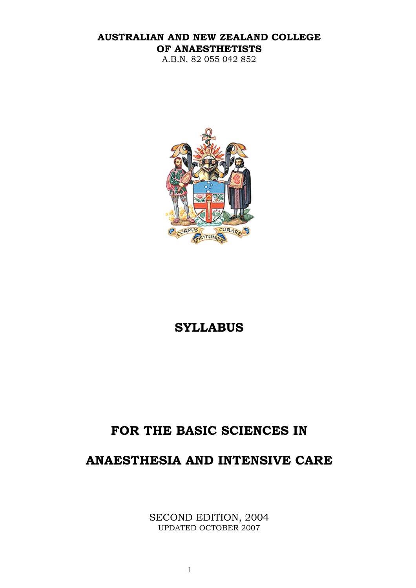## **AUSTRALIAN AND NEW ZEALAND COLLEGE OF ANAESTHETISTS**

A.B.N. 82 055 042 852



# **SYLLABUS**

# **FOR THE BASIC SCIENCES IN**

# **ANAESTHESIA AND INTENSIVE CARE**

SECOND EDITION, 2004 UPDATED OCTOBER 2007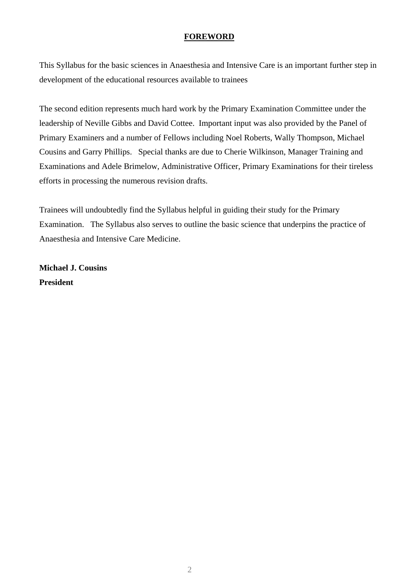#### **FOREWORD**

This Syllabus for the basic sciences in Anaesthesia and Intensive Care is an important further step in development of the educational resources available to trainees

The second edition represents much hard work by the Primary Examination Committee under the leadership of Neville Gibbs and David Cottee. Important input was also provided by the Panel of Primary Examiners and a number of Fellows including Noel Roberts, Wally Thompson, Michael Cousins and Garry Phillips. Special thanks are due to Cherie Wilkinson, Manager Training and Examinations and Adele Brimelow, Administrative Officer, Primary Examinations for their tireless efforts in processing the numerous revision drafts.

Trainees will undoubtedly find the Syllabus helpful in guiding their study for the Primary Examination. The Syllabus also serves to outline the basic science that underpins the practice of Anaesthesia and Intensive Care Medicine.

**Michael J. Cousins President**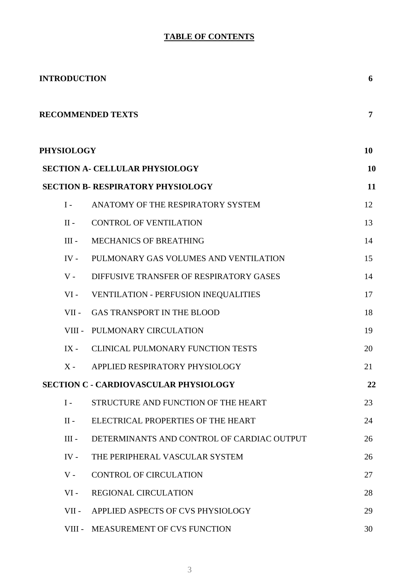# **TABLE OF CONTENTS**

| <b>INTRODUCTION</b> |                                              |           |
|---------------------|----------------------------------------------|-----------|
|                     | <b>RECOMMENDED TEXTS</b>                     | 7         |
| <b>PHYSIOLOGY</b>   |                                              | 10        |
|                     | <b>SECTION A- CELLULAR PHYSIOLOGY</b>        | <b>10</b> |
|                     | <b>SECTION B- RESPIRATORY PHYSIOLOGY</b>     | 11        |
| $I -$               | ANATOMY OF THE RESPIRATORY SYSTEM            | 12        |
| $II -$              | <b>CONTROL OF VENTILATION</b>                | 13        |
| $III -$             | MECHANICS OF BREATHING                       | 14        |
| $IV -$              | PULMONARY GAS VOLUMES AND VENTILATION        | 15        |
| $V -$               | DIFFUSIVE TRANSFER OF RESPIRATORY GASES      | 14        |
| $VI -$              | <b>VENTILATION - PERFUSION INEQUALITIES</b>  | 17        |
| $VII -$             | <b>GAS TRANSPORT IN THE BLOOD</b>            | 18        |
|                     | VIII - PULMONARY CIRCULATION                 | 19        |
| $IX -$              | <b>CLINICAL PULMONARY FUNCTION TESTS</b>     | 20        |
| $X -$               | APPLIED RESPIRATORY PHYSIOLOGY               | 21        |
|                     | <b>SECTION C - CARDIOVASCULAR PHYSIOLOGY</b> | 22        |
| $I -$               | STRUCTURE AND FUNCTION OF THE HEART          | 23        |
| $II -$              | ELECTRICAL PROPERTIES OF THE HEART           | 24        |
| $III -$             | DETERMINANTS AND CONTROL OF CARDIAC OUTPUT   | 26        |
| $IV -$              | THE PERIPHERAL VASCULAR SYSTEM               | 26        |
| $V -$               | <b>CONTROL OF CIRCULATION</b>                | 27        |
| $VI -$              | <b>REGIONAL CIRCULATION</b>                  | 28        |
| $VII -$             | APPLIED ASPECTS OF CVS PHYSIOLOGY            | 29        |
| VIII -              | MEASUREMENT OF CVS FUNCTION                  | 30        |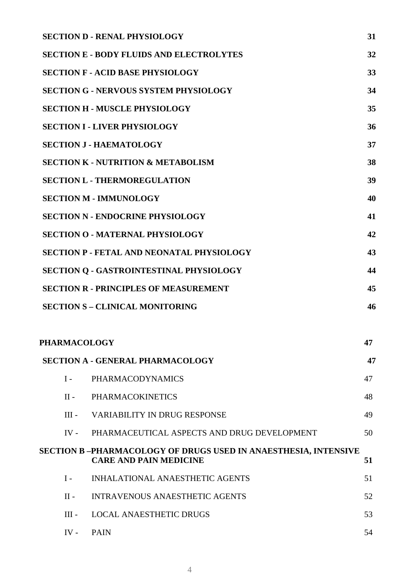|                                                     |              | <b>SECTION D - RENAL PHYSIOLOGY</b>                                                             | 31 |
|-----------------------------------------------------|--------------|-------------------------------------------------------------------------------------------------|----|
|                                                     |              | <b>SECTION E - BODY FLUIDS AND ELECTROLYTES</b>                                                 | 32 |
|                                                     |              | <b>SECTION F - ACID BASE PHYSIOLOGY</b>                                                         | 33 |
|                                                     |              | <b>SECTION G - NERVOUS SYSTEM PHYSIOLOGY</b>                                                    | 34 |
| <b>SECTION H - MUSCLE PHYSIOLOGY</b>                |              |                                                                                                 | 35 |
|                                                     |              | <b>SECTION I - LIVER PHYSIOLOGY</b>                                                             | 36 |
| <b>SECTION J - HAEMATOLOGY</b>                      |              |                                                                                                 | 37 |
| <b>SECTION K - NUTRITION &amp; METABOLISM</b><br>38 |              |                                                                                                 |    |
| <b>SECTION L - THERMOREGULATION</b>                 |              |                                                                                                 | 39 |
| <b>SECTION M - IMMUNOLOGY</b>                       |              |                                                                                                 | 40 |
|                                                     |              | <b>SECTION N - ENDOCRINE PHYSIOLOGY</b>                                                         | 41 |
|                                                     |              | <b>SECTION O - MATERNAL PHYSIOLOGY</b>                                                          | 42 |
|                                                     |              | <b>SECTION P - FETAL AND NEONATAL PHYSIOLOGY</b>                                                | 43 |
|                                                     |              | <b>SECTION Q - GASTROINTESTINAL PHYSIOLOGY</b>                                                  | 44 |
| <b>SECTION R - PRINCIPLES OF MEASUREMENT</b>        |              | 45                                                                                              |    |
|                                                     |              | <b>SECTION S - CLINICAL MONITORING</b>                                                          | 46 |
|                                                     |              |                                                                                                 |    |
|                                                     | PHARMACOLOGY |                                                                                                 | 47 |
|                                                     |              | <b>SECTION A - GENERAL PHARMACOLOGY</b>                                                         | 47 |
|                                                     | $I -$        | <b>PHARMACODYNAMICS</b>                                                                         | 47 |
|                                                     | $II -$       | <b>PHARMACOKINETICS</b>                                                                         | 48 |
|                                                     | $III -$      | <b>VARIABILITY IN DRUG RESPONSE</b>                                                             | 49 |
|                                                     | $IV -$       | PHARMACEUTICAL ASPECTS AND DRUG DEVELOPMENT                                                     | 50 |
|                                                     |              | SECTION B-PHARMACOLOGY OF DRUGS USED IN ANAESTHESIA, INTENSIVE<br><b>CARE AND PAIN MEDICINE</b> | 51 |
|                                                     | $I -$        | INHALATIONAL ANAESTHETIC AGENTS                                                                 | 51 |
|                                                     | $II -$       | <b>INTRAVENOUS ANAESTHETIC AGENTS</b>                                                           | 52 |
|                                                     | $III -$      | <b>LOCAL ANAESTHETIC DRUGS</b>                                                                  | 53 |
|                                                     | IV -         | <b>PAIN</b>                                                                                     | 54 |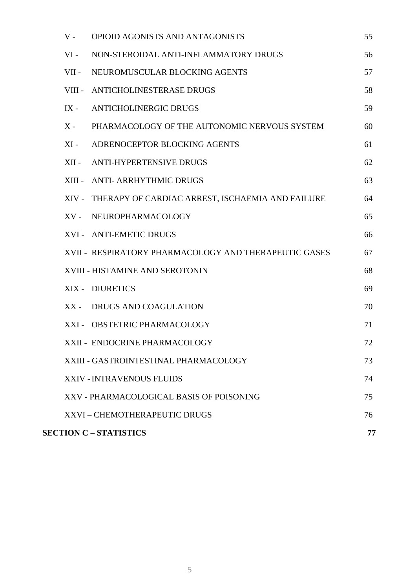| $V -$   | OPIOID AGONISTS AND ANTAGONISTS                        | 55 |
|---------|--------------------------------------------------------|----|
| $VI -$  | NON-STEROIDAL ANTI-INFLAMMATORY DRUGS                  | 56 |
| $VII -$ | NEUROMUSCULAR BLOCKING AGENTS                          | 57 |
|         | VIII - ANTICHOLINESTERASE DRUGS                        | 58 |
| $IX -$  | <b>ANTICHOLINERGIC DRUGS</b>                           | 59 |
| $X -$   | PHARMACOLOGY OF THE AUTONOMIC NERVOUS SYSTEM           | 60 |
| $XI -$  | ADRENOCEPTOR BLOCKING AGENTS                           | 61 |
| $XII -$ | <b>ANTI-HYPERTENSIVE DRUGS</b>                         | 62 |
|         | XIII - ANTI- ARRHYTHMIC DRUGS                          | 63 |
|         | XIV - THERAPY OF CARDIAC ARREST, ISCHAEMIA AND FAILURE | 64 |
| $XV -$  | NEUROPHARMACOLOGY                                      | 65 |
|         | XVI - ANTI-EMETIC DRUGS                                | 66 |
|         | XVII - RESPIRATORY PHARMACOLOGY AND THERAPEUTIC GASES  | 67 |
|         | XVIII - HISTAMINE AND SEROTONIN                        | 68 |
|         | XIX - DIURETICS                                        | 69 |
| $XX -$  | DRUGS AND COAGULATION                                  | 70 |
|         | XXI - OBSTETRIC PHARMACOLOGY                           | 71 |
|         | XXII - ENDOCRINE PHARMACOLOGY                          | 72 |
|         | XXIII - GASTROINTESTINAL PHARMACOLOGY                  | 73 |
|         | XXIV - INTRAVENOUS FLUIDS                              | 74 |
|         | XXV - PHARMACOLOGICAL BASIS OF POISONING               | 75 |
|         | XXVI - CHEMOTHERAPEUTIC DRUGS                          | 76 |
|         | <b>SECTION C – STATISTICS</b>                          | 77 |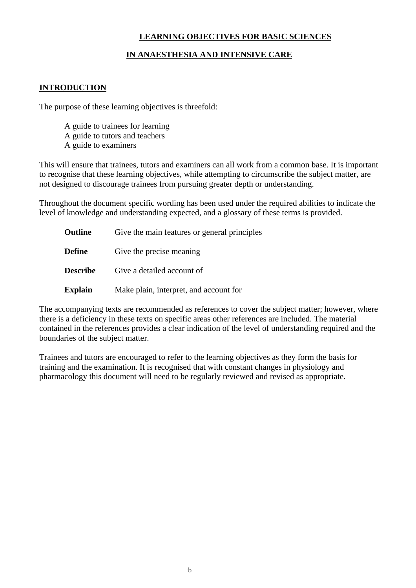#### **LEARNING OBJECTIVES FOR BASIC SCIENCES**

## **IN ANAESTHESIA AND INTENSIVE CARE**

#### <span id="page-5-0"></span>**INTRODUCTION**

The purpose of these learning objectives is threefold:

- A guide to trainees for learning
- A guide to tutors and teachers
- A guide to examiners

This will ensure that trainees, tutors and examiners can all work from a common base. It is important to recognise that these learning objectives, while attempting to circumscribe the subject matter, are not designed to discourage trainees from pursuing greater depth or understanding.

Throughout the document specific wording has been used under the required abilities to indicate the level of knowledge and understanding expected, and a glossary of these terms is provided.

| <b>Outline</b>  | Give the main features or general principles |
|-----------------|----------------------------------------------|
| <b>Define</b>   | Give the precise meaning                     |
| <b>Describe</b> | Give a detailed account of                   |
| <b>Explain</b>  | Make plain, interpret, and account for       |

The accompanying texts are recommended as references to cover the subject matter; however, where there is a deficiency in these texts on specific areas other references are included. The material contained in the references provides a clear indication of the level of understanding required and the boundaries of the subject matter.

Trainees and tutors are encouraged to refer to the learning objectives as they form the basis for training and the examination. It is recognised that with constant changes in physiology and pharmacology this document will need to be regularly reviewed and revised as appropriate.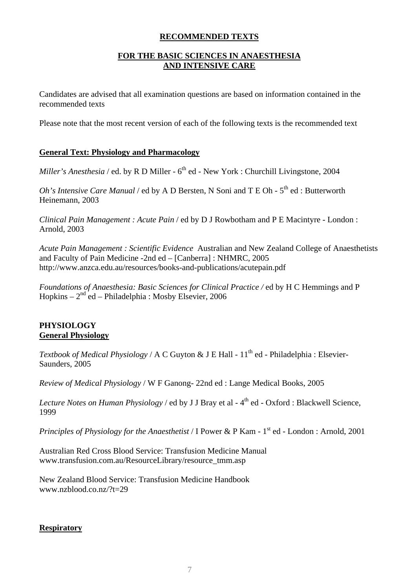#### **RECOMMENDED TEXTS**

## **FOR THE BASIC SCIENCES IN ANAESTHESIA AND INTENSIVE CARE**

<span id="page-6-0"></span>Candidates are advised that all examination questions are based on information contained in the recommended texts

Please note that the most recent version of each of the following texts is the recommended text

#### **General Text: Physiology and Pharmacology**

*Miller's Anesthesia* / ed. by R D Miller - 6<sup>th</sup> ed - New York : Churchill Livingstone, 2004

*Oh's Intensive Care Manual* / ed by A D Bersten, N Soni and T E Oh -  $5<sup>th</sup>$  ed : Butterworth Heinemann, 2003

*Clinical Pain Management : Acute Pain* / ed by D J Rowbotham and P E Macintyre - London : Arnold, 2003

*Acute Pain Management : Scientific Evidence* Australian and New Zealand College of Anaesthetists and Faculty of Pain Medicine -2nd ed – [Canberra] : NHMRC, 2005 <http://www.anzca.edu.au/resources/books-and-publications/acutepain.pdf>

*Foundations of Anaesthesia: Basic Sciences for Clinical Practice /* ed by H C Hemmings and P Hopkins –  $2<sup>nd</sup>$ ed – Philadelphia : Mosby Elsevier, 2006

## **PHYSIOLOGY General Physiology**

*Textbook of Medical Physiology* / A C Guyton & J E Hall - 11<sup>th</sup> ed - Philadelphia : Elsevier-Saunders, 2005

*Review of Medical Physiology* / W F Ganong- 22nd ed : Lange Medical Books, 2005

*Lecture Notes on Human Physiology / ed by J J Bray et al - 4<sup>th</sup> ed - Oxford : Blackwell Science,* 1999

*Principles of Physiology for the Anaesthetist* / I Power & P Kam - 1<sup>st</sup> ed - London : Arnold, 2001

Australian Red Cross Blood Service: Transfusion Medicine Manual [www.transfusion.com.au/ResourceLibrary/resource\\_tmm.asp](http://www.transfusion.com.au/ResourceLibrary/resource_tmm.asp)

New Zealand Blood Service: Transfusion Medicine Handbook [www.nzblood.co.nz/?t=29](http://www.nzblood.co.nz/?t=29)

## **Respiratory**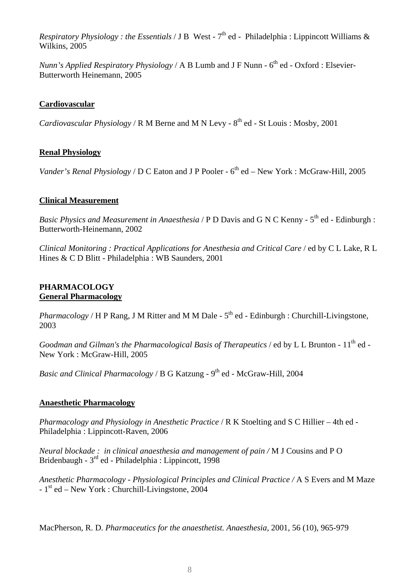*Respiratory Physiology : the Essentials* / J B West -  $7<sup>th</sup>$  ed - Philadelphia : Lippincott Williams & Wilkins, 2005

*Nunn's Applied Respiratory Physiology / A B Lumb and J F Nunn - 6<sup>th</sup> ed - Oxford : Elsevier-*Butterworth Heinemann, 2005

#### **Cardiovascular**

*Cardiovascular Physiology / R M Berne and M N Levy - 8<sup>th</sup> ed - St Louis : Mosby, 2001* 

#### **Renal Physiology**

*Vander's Renal Physiology / D C Eaton and J P Pooler - 6<sup>th</sup> ed – New York : McGraw-Hill, 2005* 

#### **Clinical Measurement**

*Basic Physics and Measurement in Anaesthesia / P D Davis and G N C Kenny - 5<sup>th</sup> ed - Edinburgh :* Butterworth-Heinemann, 2002

*Clinical Monitoring : Practical Applications for Anesthesia and Critical Care / ed by C L Lake, R L* Hines & C D Blitt - Philadelphia : WB Saunders, 2001

#### **PHARMACOLOGY General Pharmacology**

*Pharmacology* / H P Rang, J M Ritter and M M Dale -  $5<sup>th</sup>$  ed - Edinburgh : Churchill-Livingstone, 2003

*Goodman and Gilman's the Pharmacological Basis of Therapeutics* / ed by L L Brunton - 11<sup>th</sup> ed -New York : McGraw-Hill, 2005

*Basic and Clinical Pharmacology* / B G Katzung - 9<sup>th</sup> ed - McGraw-Hill, 2004

## **Anaesthetic Pharmacology**

*Pharmacology and Physiology in Anesthetic Practice* / R K Stoelting and S C Hillier – 4th ed - Philadelphia : Lippincott-Raven, 2006

*Neural blockade : in clinical anaesthesia and management of pain /* M J Cousins and P O Bridenbaugh - 3rd ed - Philadelphia : Lippincott, 1998

*Anesthetic Pharmacology - Physiological Principles and Clinical Practice /* A S Evers and M Maze  $-1<sup>st</sup>$  ed – New York : Churchill-Livingstone, 2004

MacPherson*,* R. D. *Pharmaceutics for the anaesthetist. Anaesthesia,* 2001, 56 (10), 965-979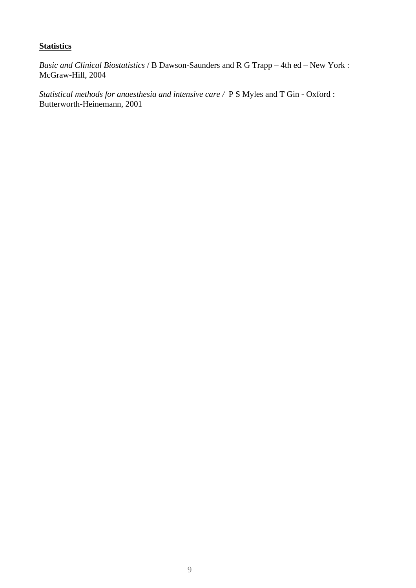## **Statistics**

*Basic and Clinical Biostatistics* / B Dawson-Saunders and R G Trapp – 4th ed – New York : McGraw-Hill, 2004

*Statistical methods for anaesthesia and intensive care /* P S Myles and T Gin - Oxford : Butterworth-Heinemann, 2001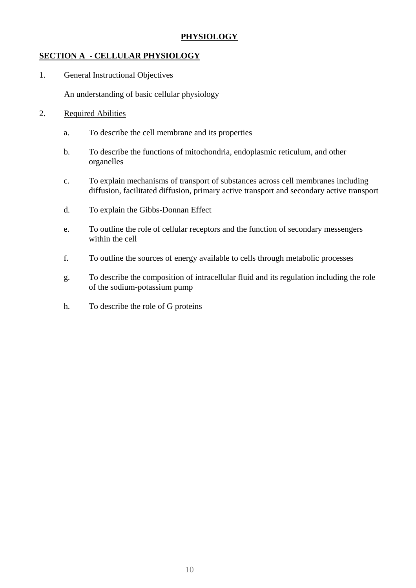## **PHYSIOLOGY**

## <span id="page-9-0"></span>**SECTION A - CELLULAR PHYSIOLOGY**

1. General Instructional Objectives

An understanding of basic cellular physiology

- a. To describe the cell membrane and its properties
- b. To describe the functions of mitochondria, endoplasmic reticulum, and other organelles
- c. To explain mechanisms of transport of substances across cell membranes including diffusion, facilitated diffusion, primary active transport and secondary active transport
- d. To explain the Gibbs-Donnan Effect
- e. To outline the role of cellular receptors and the function of secondary messengers within the cell
- f. To outline the sources of energy available to cells through metabolic processes
- g. To describe the composition of intracellular fluid and its regulation including the role of the sodium-potassium pump
- h. To describe the role of G proteins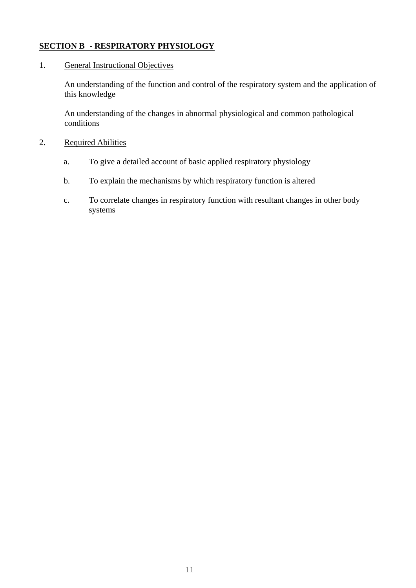## <span id="page-10-0"></span>**SECTION B - RESPIRATORY PHYSIOLOGY**

#### 1. General Instructional Objectives

An understanding of the function and control of the respiratory system and the application of this knowledge

An understanding of the changes in abnormal physiological and common pathological conditions

- 2. Required Abilities
	- a. To give a detailed account of basic applied respiratory physiology
	- b. To explain the mechanisms by which respiratory function is altered
	- c. To correlate changes in respiratory function with resultant changes in other body systems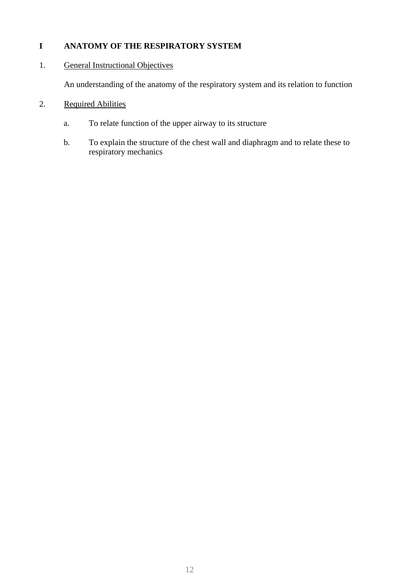## <span id="page-11-0"></span>**I ANATOMY OF THE RESPIRATORY SYSTEM**

## 1. General Instructional Objectives

An understanding of the anatomy of the respiratory system and its relation to function

- a. To relate function of the upper airway to its structure
- b. To explain the structure of the chest wall and diaphragm and to relate these to respiratory mechanics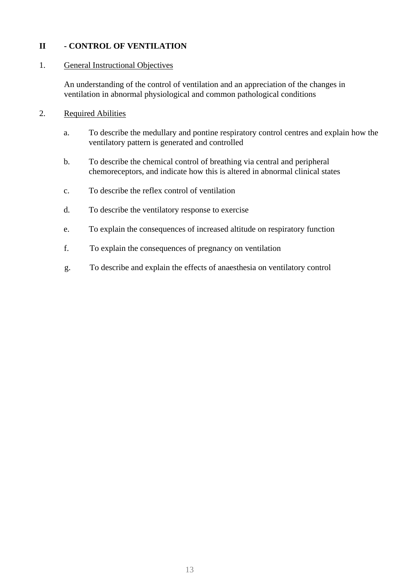## <span id="page-12-0"></span>**II - CONTROL OF VENTILATION**

#### 1. General Instructional Objectives

An understanding of the control of ventilation and an appreciation of the changes in ventilation in abnormal physiological and common pathological conditions

- a. To describe the medullary and pontine respiratory control centres and explain how the ventilatory pattern is generated and controlled
- b. To describe the chemical control of breathing via central and peripheral chemoreceptors, and indicate how this is altered in abnormal clinical states
- c. To describe the reflex control of ventilation
- d. To describe the ventilatory response to exercise
- e. To explain the consequences of increased altitude on respiratory function
- f. To explain the consequences of pregnancy on ventilation
- g. To describe and explain the effects of anaesthesia on ventilatory control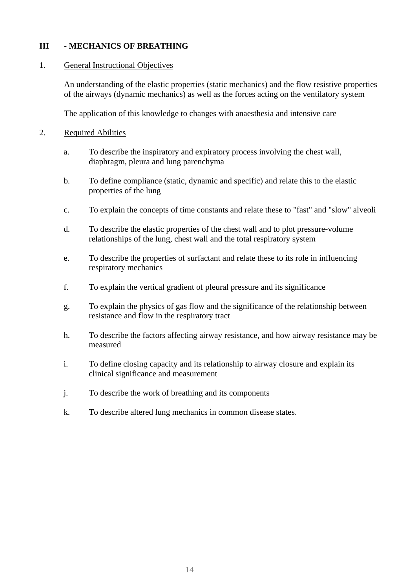## <span id="page-13-0"></span>**III - MECHANICS OF BREATHING**

#### 1. General Instructional Objectives

An understanding of the elastic properties (static mechanics) and the flow resistive properties of the airways (dynamic mechanics) as well as the forces acting on the ventilatory system

The application of this knowledge to changes with anaesthesia and intensive care

- 2. Required Abilities
	- a. To describe the inspiratory and expiratory process involving the chest wall, diaphragm, pleura and lung parenchyma
	- b. To define compliance (static, dynamic and specific) and relate this to the elastic properties of the lung
	- c. To explain the concepts of time constants and relate these to "fast" and "slow" alveoli
	- d. To describe the elastic properties of the chest wall and to plot pressure-volume relationships of the lung, chest wall and the total respiratory system
	- e. To describe the properties of surfactant and relate these to its role in influencing respiratory mechanics
	- f. To explain the vertical gradient of pleural pressure and its significance
	- g. To explain the physics of gas flow and the significance of the relationship between resistance and flow in the respiratory tract
	- h. To describe the factors affecting airway resistance, and how airway resistance may be measured
	- i. To define closing capacity and its relationship to airway closure and explain its clinical significance and measurement
	- j. To describe the work of breathing and its components
	- k. To describe altered lung mechanics in common disease states.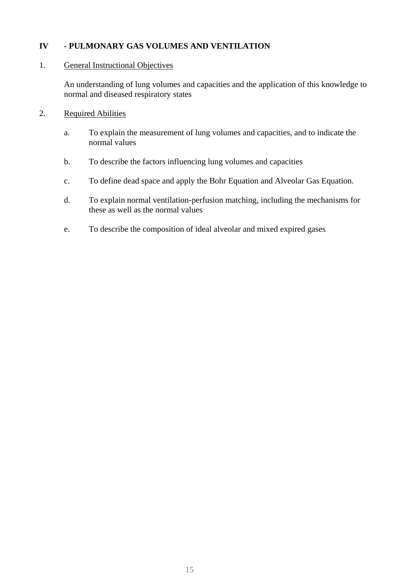## <span id="page-14-0"></span>**IV - PULMONARY GAS VOLUMES AND VENTILATION**

#### 1. General Instructional Objectives

An understanding of lung volumes and capacities and the application of this knowledge to normal and diseased respiratory states

- a. To explain the measurement of lung volumes and capacities, and to indicate the normal values
- b. To describe the factors influencing lung volumes and capacities
- c. To define dead space and apply the Bohr Equation and Alveolar Gas Equation.
- d. To explain normal ventilation-perfusion matching, including the mechanisms for these as well as the normal values
- e. To describe the composition of ideal alveolar and mixed expired gases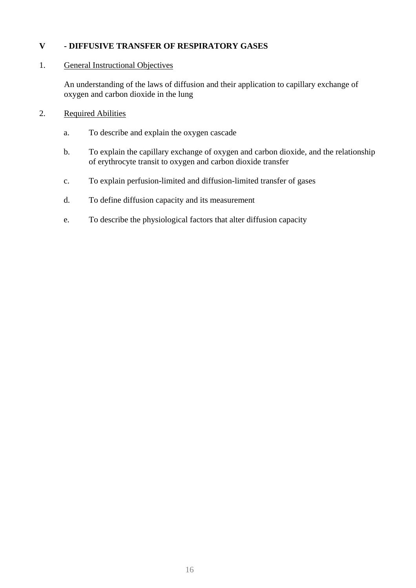## **V - DIFFUSIVE TRANSFER OF RESPIRATORY GASES**

#### 1. General Instructional Objectives

An understanding of the laws of diffusion and their application to capillary exchange of oxygen and carbon dioxide in the lung

- a. To describe and explain the oxygen cascade
- b. To explain the capillary exchange of oxygen and carbon dioxide, and the relationship of erythrocyte transit to oxygen and carbon dioxide transfer
- c. To explain perfusion-limited and diffusion-limited transfer of gases
- d. To define diffusion capacity and its measurement
- e. To describe the physiological factors that alter diffusion capacity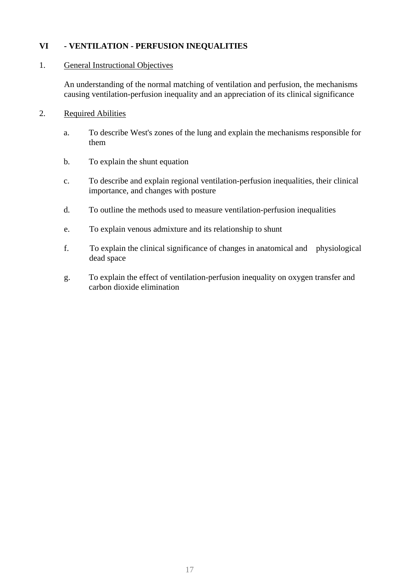## <span id="page-16-0"></span>**VI - VENTILATION - PERFUSION INEQUALITIES**

#### 1. General Instructional Objectives

An understanding of the normal matching of ventilation and perfusion, the mechanisms causing ventilation-perfusion inequality and an appreciation of its clinical significance

- a. To describe West's zones of the lung and explain the mechanisms responsible for them
- b. To explain the shunt equation
- c. To describe and explain regional ventilation-perfusion inequalities, their clinical importance, and changes with posture
- d. To outline the methods used to measure ventilation-perfusion inequalities
- e. To explain venous admixture and its relationship to shunt
- f. To explain the clinical significance of changes in anatomical and physiological dead space
- g. To explain the effect of ventilation-perfusion inequality on oxygen transfer and carbon dioxide elimination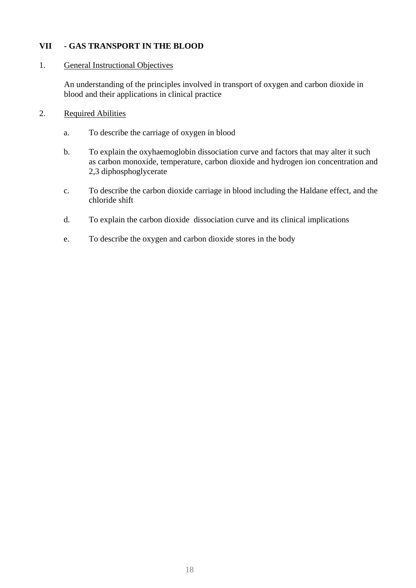## <span id="page-17-0"></span>**VII - GAS TRANSPORT IN THE BLOOD**

#### 1. General Instructional Objectives

An understanding of the principles involved in transport of oxygen and carbon dioxide in blood and their applications in clinical practice

- a. To describe the carriage of oxygen in blood
- b. To explain the oxyhaemoglobin dissociation curve and factors that may alter it such as carbon monoxide, temperature, carbon dioxide and hydrogen ion concentration and 2,3 diphosphoglycerate
- c. To describe the carbon dioxide carriage in blood including the Haldane effect, and the chloride shift
- d. To explain the carbon dioxide dissociation curve and its clinical implications
- e. To describe the oxygen and carbon dioxide stores in the body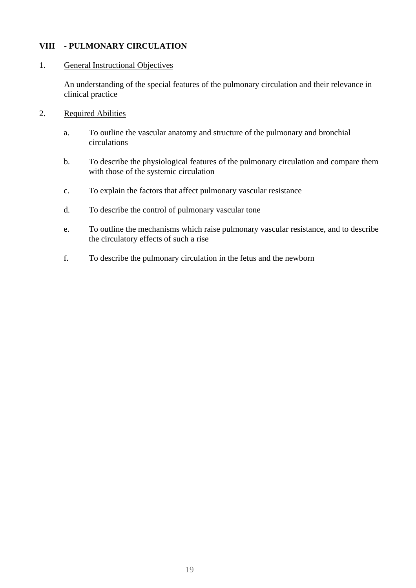## <span id="page-18-0"></span>**VIII - PULMONARY CIRCULATION**

#### 1. General Instructional Objectives

An understanding of the special features of the pulmonary circulation and their relevance in clinical practice

- a. To outline the vascular anatomy and structure of the pulmonary and bronchial circulations
- b. To describe the physiological features of the pulmonary circulation and compare them with those of the systemic circulation
- c. To explain the factors that affect pulmonary vascular resistance
- d. To describe the control of pulmonary vascular tone
- e. To outline the mechanisms which raise pulmonary vascular resistance, and to describe the circulatory effects of such a rise
- f. To describe the pulmonary circulation in the fetus and the newborn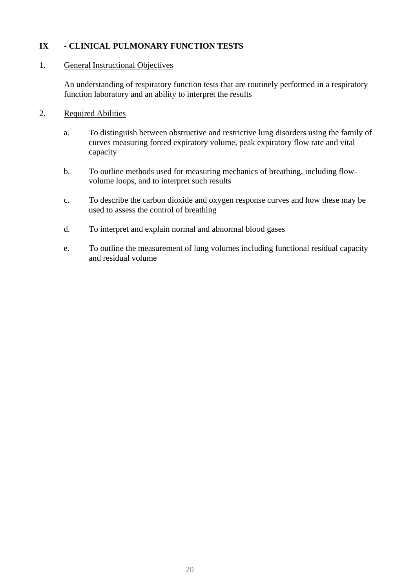## <span id="page-19-0"></span>**IX - CLINICAL PULMONARY FUNCTION TESTS**

#### 1. General Instructional Objectives

An understanding of respiratory function tests that are routinely performed in a respiratory function laboratory and an ability to interpret the results

- a. To distinguish between obstructive and restrictive lung disorders using the family of curves measuring forced expiratory volume, peak expiratory flow rate and vital capacity
- b. To outline methods used for measuring mechanics of breathing, including flowvolume loops, and to interpret such results
- c. To describe the carbon dioxide and oxygen response curves and how these may be used to assess the control of breathing
- d. To interpret and explain normal and abnormal blood gases
- e. To outline the measurement of lung volumes including functional residual capacity and residual volume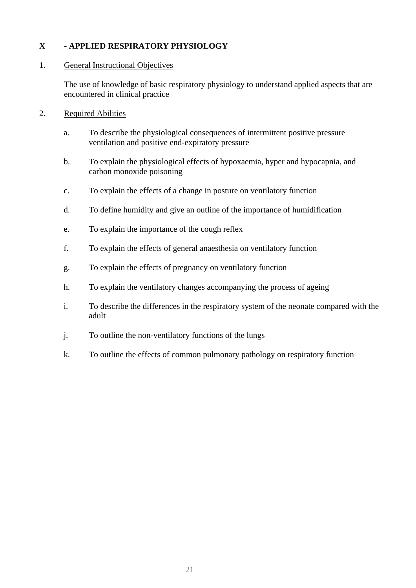## <span id="page-20-0"></span>**X - APPLIED RESPIRATORY PHYSIOLOGY**

## 1. General Instructional Objectives

The use of knowledge of basic respiratory physiology to understand applied aspects that are encountered in clinical practice

- a. To describe the physiological consequences of intermittent positive pressure ventilation and positive end-expiratory pressure
- b. To explain the physiological effects of hypoxaemia, hyper and hypocapnia, and carbon monoxide poisoning
- c. To explain the effects of a change in posture on ventilatory function
- d. To define humidity and give an outline of the importance of humidification
- e. To explain the importance of the cough reflex
- f. To explain the effects of general anaesthesia on ventilatory function
- g. To explain the effects of pregnancy on ventilatory function
- h. To explain the ventilatory changes accompanying the process of ageing
- i. To describe the differences in the respiratory system of the neonate compared with the adult
- j. To outline the non-ventilatory functions of the lungs
- k. To outline the effects of common pulmonary pathology on respiratory function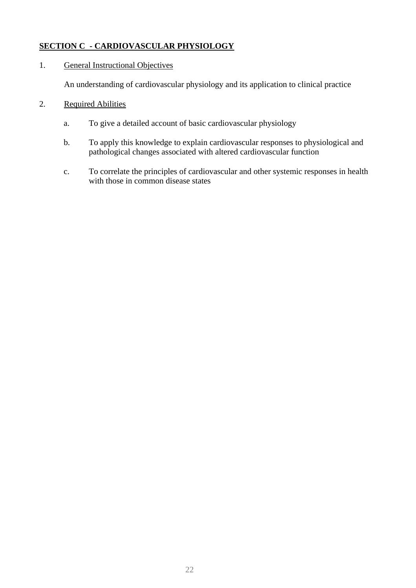## <span id="page-21-0"></span>**SECTION C - CARDIOVASCULAR PHYSIOLOGY**

## 1. General Instructional Objectives

An understanding of cardiovascular physiology and its application to clinical practice

- a. To give a detailed account of basic cardiovascular physiology
- b. To apply this knowledge to explain cardiovascular responses to physiological and pathological changes associated with altered cardiovascular function
- c. To correlate the principles of cardiovascular and other systemic responses in health with those in common disease states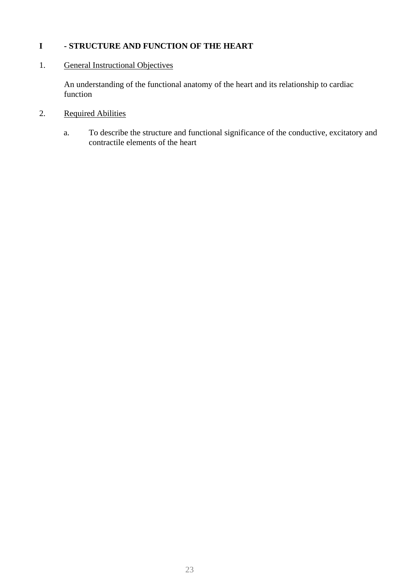## <span id="page-22-0"></span>**I - STRUCTURE AND FUNCTION OF THE HEART**

## 1. General Instructional Objectives

An understanding of the functional anatomy of the heart and its relationship to cardiac function

# 2. Required Abilities

a. To describe the structure and functional significance of the conductive, excitatory and contractile elements of the heart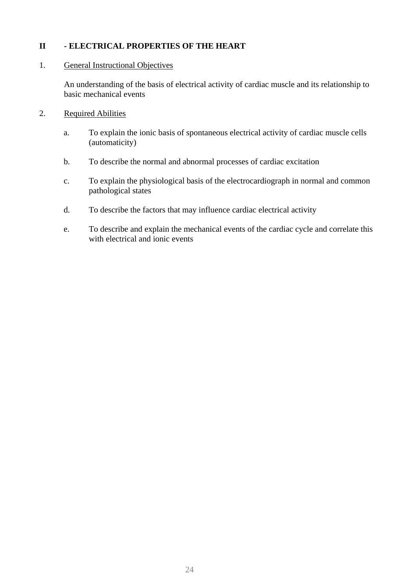## <span id="page-23-0"></span>**II - ELECTRICAL PROPERTIES OF THE HEART**

#### 1. General Instructional Objectives

An understanding of the basis of electrical activity of cardiac muscle and its relationship to basic mechanical events

- a. To explain the ionic basis of spontaneous electrical activity of cardiac muscle cells (automaticity)
- b. To describe the normal and abnormal processes of cardiac excitation
- c. To explain the physiological basis of the electrocardiograph in normal and common pathological states
- d. To describe the factors that may influence cardiac electrical activity
- e. To describe and explain the mechanical events of the cardiac cycle and correlate this with electrical and ionic events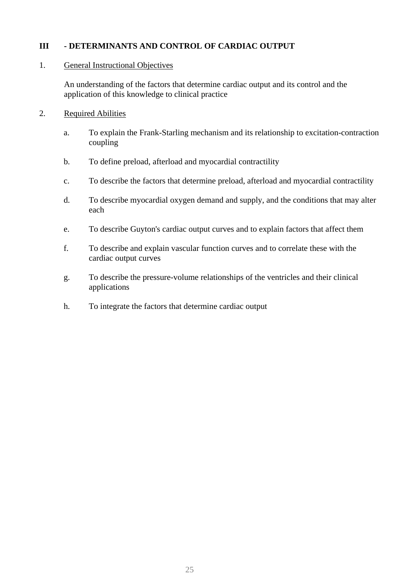## **III - DETERMINANTS AND CONTROL OF CARDIAC OUTPUT**

#### 1. General Instructional Objectives

An understanding of the factors that determine cardiac output and its control and the application of this knowledge to clinical practice

- a. To explain the Frank-Starling mechanism and its relationship to excitation-contraction coupling
- b. To define preload, afterload and myocardial contractility
- c. To describe the factors that determine preload, afterload and myocardial contractility
- d. To describe myocardial oxygen demand and supply, and the conditions that may alter each
- e. To describe Guyton's cardiac output curves and to explain factors that affect them
- f. To describe and explain vascular function curves and to correlate these with the cardiac output curves
- g. To describe the pressure-volume relationships of the ventricles and their clinical applications
- h. To integrate the factors that determine cardiac output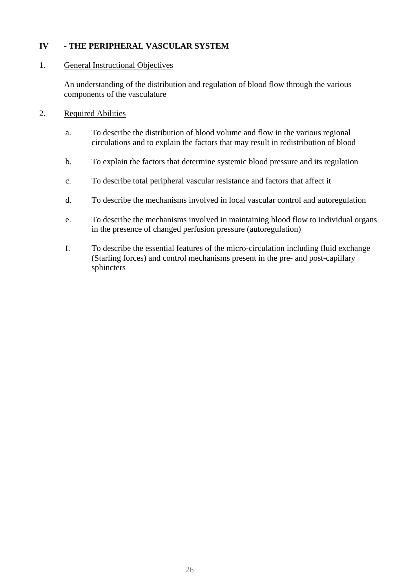## <span id="page-25-0"></span>**IV - THE PERIPHERAL VASCULAR SYSTEM**

## 1. General Instructional Objectives

An understanding of the distribution and regulation of blood flow through the various components of the vasculature

- a. To describe the distribution of blood volume and flow in the various regional circulations and to explain the factors that may result in redistribution of blood
- b. To explain the factors that determine systemic blood pressure and its regulation
- c. To describe total peripheral vascular resistance and factors that affect it
- d. To describe the mechanisms involved in local vascular control and autoregulation
- e. To describe the mechanisms involved in maintaining blood flow to individual organs in the presence of changed perfusion pressure (autoregulation)
- f. To describe the essential features of the micro-circulation including fluid exchange (Starling forces) and control mechanisms present in the pre- and post-capillary sphincters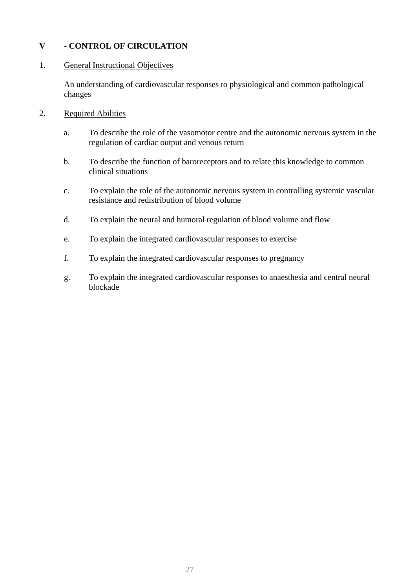## <span id="page-26-0"></span>**V - CONTROL OF CIRCULATION**

#### 1. General Instructional Objectives

An understanding of cardiovascular responses to physiological and common pathological changes

- a. To describe the role of the vasomotor centre and the autonomic nervous system in the regulation of cardiac output and venous return
- b. To describe the function of baroreceptors and to relate this knowledge to common clinical situations
- c. To explain the role of the autonomic nervous system in controlling systemic vascular resistance and redistribution of blood volume
- d. To explain the neural and humoral regulation of blood volume and flow
- e. To explain the integrated cardiovascular responses to exercise
- f. To explain the integrated cardiovascular responses to pregnancy
- g. To explain the integrated cardiovascular responses to anaesthesia and central neural blockade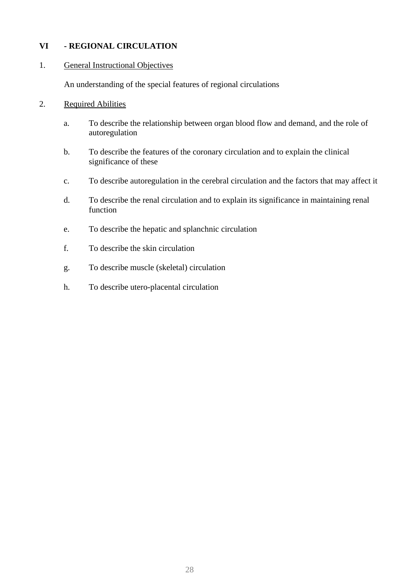## <span id="page-27-0"></span>**VI - REGIONAL CIRCULATION**

#### 1. General Instructional Objectives

An understanding of the special features of regional circulations

- a. To describe the relationship between organ blood flow and demand, and the role of autoregulation
- b. To describe the features of the coronary circulation and to explain the clinical significance of these
- c. To describe autoregulation in the cerebral circulation and the factors that may affect it
- d. To describe the renal circulation and to explain its significance in maintaining renal function
- e. To describe the hepatic and splanchnic circulation
- f. To describe the skin circulation
- g. To describe muscle (skeletal) circulation
- h. To describe utero-placental circulation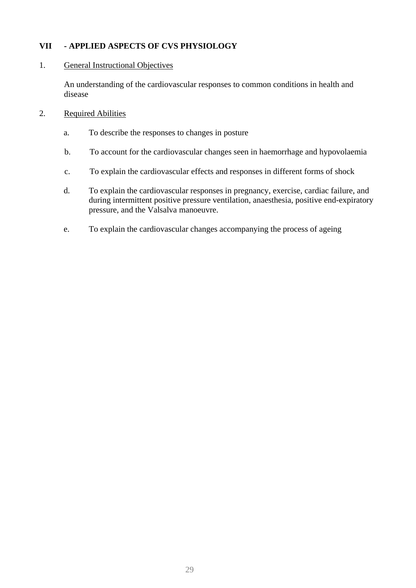## <span id="page-28-0"></span>**VII - APPLIED ASPECTS OF CVS PHYSIOLOGY**

#### 1. General Instructional Objectives

An understanding of the cardiovascular responses to common conditions in health and disease

- a. To describe the responses to changes in posture
- b. To account for the cardiovascular changes seen in haemorrhage and hypovolaemia
- c. To explain the cardiovascular effects and responses in different forms of shock
- d. To explain the cardiovascular responses in pregnancy, exercise, cardiac failure, and during intermittent positive pressure ventilation, anaesthesia, positive end-expiratory pressure, and the Valsalva manoeuvre.
- e. To explain the cardiovascular changes accompanying the process of ageing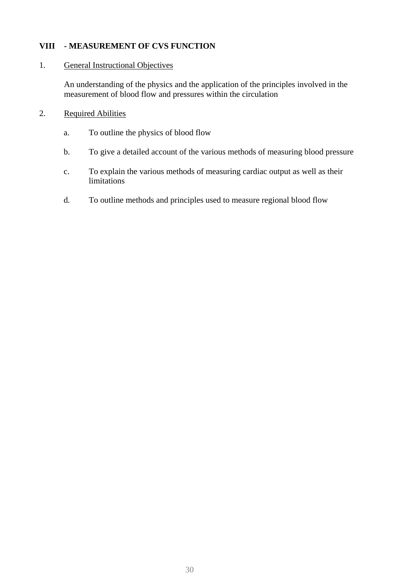## <span id="page-29-0"></span>**VIII - MEASUREMENT OF CVS FUNCTION**

#### 1. General Instructional Objectives

An understanding of the physics and the application of the principles involved in the measurement of blood flow and pressures within the circulation

- a. To outline the physics of blood flow
- b. To give a detailed account of the various methods of measuring blood pressure
- c. To explain the various methods of measuring cardiac output as well as their limitations
- d. To outline methods and principles used to measure regional blood flow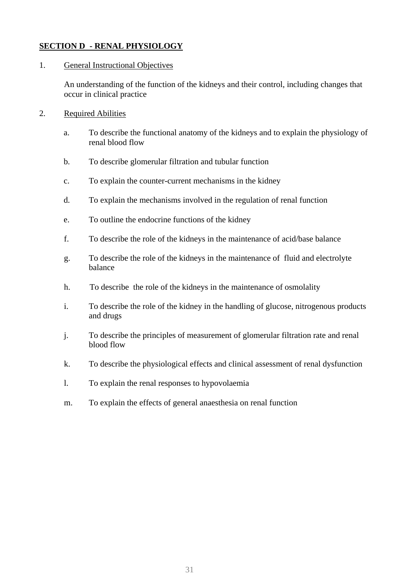## <span id="page-30-0"></span>**SECTION D - RENAL PHYSIOLOGY**

#### 1. General Instructional Objectives

An understanding of the function of the kidneys and their control, including changes that occur in clinical practice

- 2. Required Abilities
	- a. To describe the functional anatomy of the kidneys and to explain the physiology of renal blood flow
	- b. To describe glomerular filtration and tubular function
	- c. To explain the counter-current mechanisms in the kidney
	- d. To explain the mechanisms involved in the regulation of renal function
	- e. To outline the endocrine functions of the kidney
	- f. To describe the role of the kidneys in the maintenance of acid/base balance
	- g. To describe the role of the kidneys in the maintenance of fluid and electrolyte balance
	- h. To describe the role of the kidneys in the maintenance of osmolality
	- i. To describe the role of the kidney in the handling of glucose, nitrogenous products and drugs
	- j. To describe the principles of measurement of glomerular filtration rate and renal blood flow
	- k. To describe the physiological effects and clinical assessment of renal dysfunction
	- l. To explain the renal responses to hypovolaemia
	- m. To explain the effects of general anaesthesia on renal function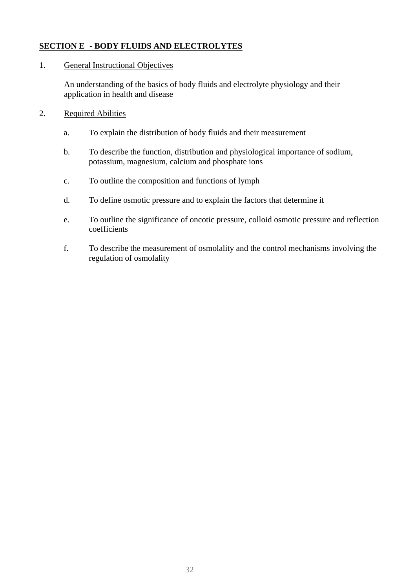## <span id="page-31-0"></span>**SECTION E - BODY FLUIDS AND ELECTROLYTES**

#### 1. General Instructional Objectives

An understanding of the basics of body fluids and electrolyte physiology and their application in health and disease

- a. To explain the distribution of body fluids and their measurement
- b. To describe the function, distribution and physiological importance of sodium, potassium, magnesium, calcium and phosphate ions
- c. To outline the composition and functions of lymph
- d. To define osmotic pressure and to explain the factors that determine it
- e. To outline the significance of oncotic pressure, colloid osmotic pressure and reflection coefficients
- f. To describe the measurement of osmolality and the control mechanisms involving the regulation of osmolality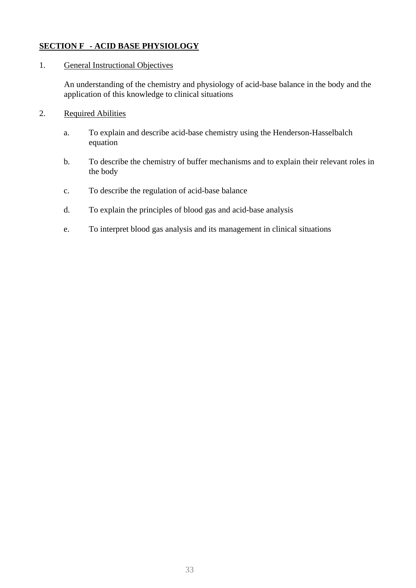## <span id="page-32-0"></span>**SECTION F - ACID BASE PHYSIOLOGY**

#### 1. General Instructional Objectives

An understanding of the chemistry and physiology of acid-base balance in the body and the application of this knowledge to clinical situations

- a. To explain and describe acid-base chemistry using the Henderson-Hasselbalch equation
- b. To describe the chemistry of buffer mechanisms and to explain their relevant roles in the body
- c. To describe the regulation of acid-base balance
- d. To explain the principles of blood gas and acid-base analysis
- e. To interpret blood gas analysis and its management in clinical situations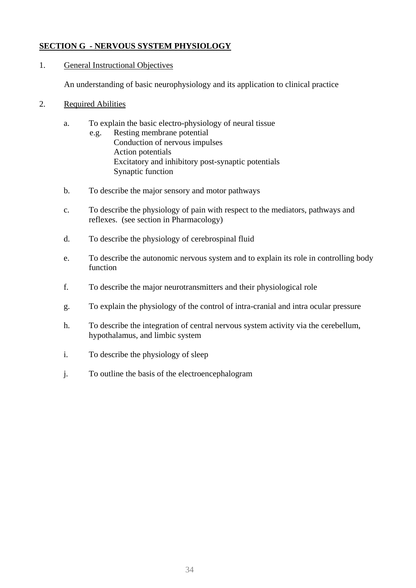## <span id="page-33-0"></span>**SECTION G - NERVOUS SYSTEM PHYSIOLOGY**

## 1. General Instructional Objectives

An understanding of basic neurophysiology and its application to clinical practice

- a. To explain the basic electro-physiology of neural tissue
	- e.g. Resting membrane potential Conduction of nervous impulses Action potentials Excitatory and inhibitory post-synaptic potentials Synaptic function
- b. To describe the major sensory and motor pathways
- c. To describe the physiology of pain with respect to the mediators, pathways and reflexes. (see section in Pharmacology)
- d. To describe the physiology of cerebrospinal fluid
- e. To describe the autonomic nervous system and to explain its role in controlling body function
- f. To describe the major neurotransmitters and their physiological role
- g. To explain the physiology of the control of intra-cranial and intra ocular pressure
- h. To describe the integration of central nervous system activity via the cerebellum, hypothalamus, and limbic system
- i. To describe the physiology of sleep
- j. To outline the basis of the electroencephalogram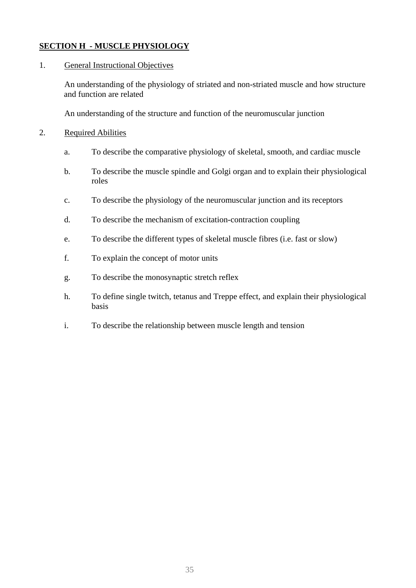## <span id="page-34-0"></span>**SECTION H - MUSCLE PHYSIOLOGY**

#### 1. General Instructional Objectives

An understanding of the physiology of striated and non-striated muscle and how structure and function are related

An understanding of the structure and function of the neuromuscular junction

- 2. Required Abilities
	- a. To describe the comparative physiology of skeletal, smooth, and cardiac muscle
	- b. To describe the muscle spindle and Golgi organ and to explain their physiological roles
	- c. To describe the physiology of the neuromuscular junction and its receptors
	- d. To describe the mechanism of excitation-contraction coupling
	- e. To describe the different types of skeletal muscle fibres (i.e. fast or slow)
	- f. To explain the concept of motor units
	- g. To describe the monosynaptic stretch reflex
	- h. To define single twitch, tetanus and Treppe effect, and explain their physiological basis
	- i. To describe the relationship between muscle length and tension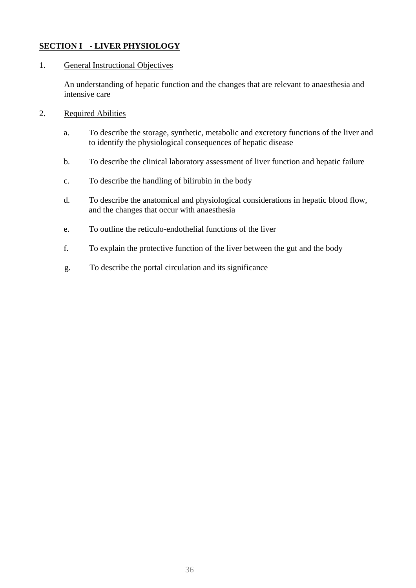## <span id="page-35-0"></span>**SECTION I - LIVER PHYSIOLOGY**

#### 1. General Instructional Objectives

An understanding of hepatic function and the changes that are relevant to anaesthesia and intensive care

- 2. Required Abilities
	- a. To describe the storage, synthetic, metabolic and excretory functions of the liver and to identify the physiological consequences of hepatic disease
	- b. To describe the clinical laboratory assessment of liver function and hepatic failure
	- c. To describe the handling of bilirubin in the body
	- d. To describe the anatomical and physiological considerations in hepatic blood flow, and the changes that occur with anaesthesia
	- e. To outline the reticulo-endothelial functions of the liver
	- f. To explain the protective function of the liver between the gut and the body
	- g. To describe the portal circulation and its significance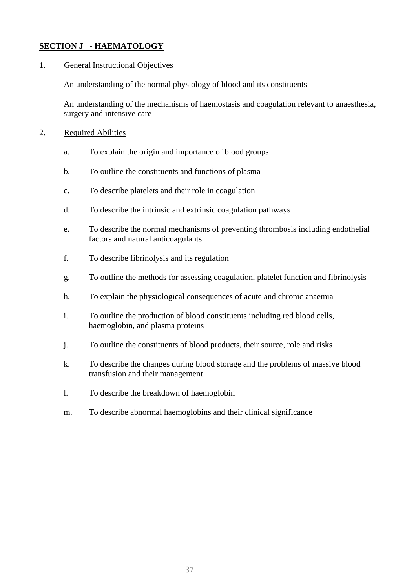# **SECTION J - HAEMATOLOGY**

### 1. General Instructional Objectives

An understanding of the normal physiology of blood and its constituents

An understanding of the mechanisms of haemostasis and coagulation relevant to anaesthesia, surgery and intensive care

- 2. Required Abilities
	- a. To explain the origin and importance of blood groups
	- b. To outline the constituents and functions of plasma
	- c. To describe platelets and their role in coagulation
	- d. To describe the intrinsic and extrinsic coagulation pathways
	- e. To describe the normal mechanisms of preventing thrombosis including endothelial factors and natural anticoagulants
	- f. To describe fibrinolysis and its regulation
	- g. To outline the methods for assessing coagulation, platelet function and fibrinolysis
	- h. To explain the physiological consequences of acute and chronic anaemia
	- i. To outline the production of blood constituents including red blood cells, haemoglobin, and plasma proteins
	- j. To outline the constituents of blood products, their source, role and risks
	- k. To describe the changes during blood storage and the problems of massive blood transfusion and their management
	- l. To describe the breakdown of haemoglobin
	- m. To describe abnormal haemoglobins and their clinical significance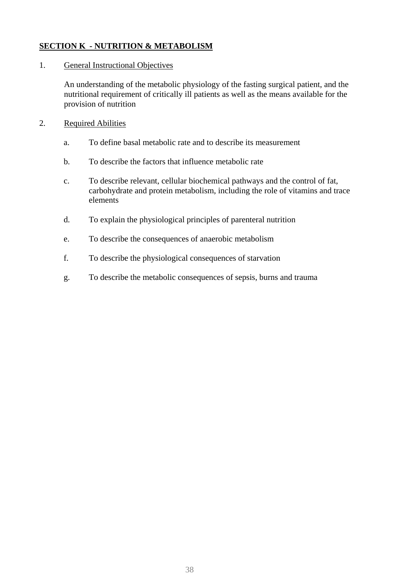# **SECTION K - NUTRITION & METABOLISM**

### 1. General Instructional Objectives

An understanding of the metabolic physiology of the fasting surgical patient, and the nutritional requirement of critically ill patients as well as the means available for the provision of nutrition

- 2. Required Abilities
	- a. To define basal metabolic rate and to describe its measurement
	- b. To describe the factors that influence metabolic rate
	- c. To describe relevant, cellular biochemical pathways and the control of fat, carbohydrate and protein metabolism, including the role of vitamins and trace elements
	- d. To explain the physiological principles of parenteral nutrition
	- e. To describe the consequences of anaerobic metabolism
	- f. To describe the physiological consequences of starvation
	- g. To describe the metabolic consequences of sepsis, burns and trauma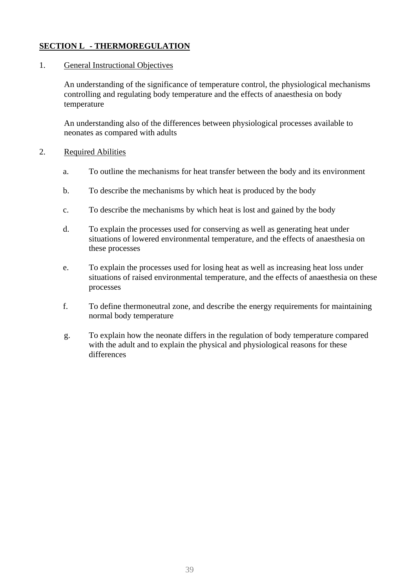# **SECTION L - THERMOREGULATION**

### 1. General Instructional Objectives

An understanding of the significance of temperature control, the physiological mechanisms controlling and regulating body temperature and the effects of anaesthesia on body temperature

An understanding also of the differences between physiological processes available to neonates as compared with adults

- a. To outline the mechanisms for heat transfer between the body and its environment
- b. To describe the mechanisms by which heat is produced by the body
- c. To describe the mechanisms by which heat is lost and gained by the body
- d. To explain the processes used for conserving as well as generating heat under situations of lowered environmental temperature, and the effects of anaesthesia on these processes
- e. To explain the processes used for losing heat as well as increasing heat loss under situations of raised environmental temperature, and the effects of anaesthesia on these processes
- f. To define thermoneutral zone, and describe the energy requirements for maintaining normal body temperature
- g. To explain how the neonate differs in the regulation of body temperature compared with the adult and to explain the physical and physiological reasons for these differences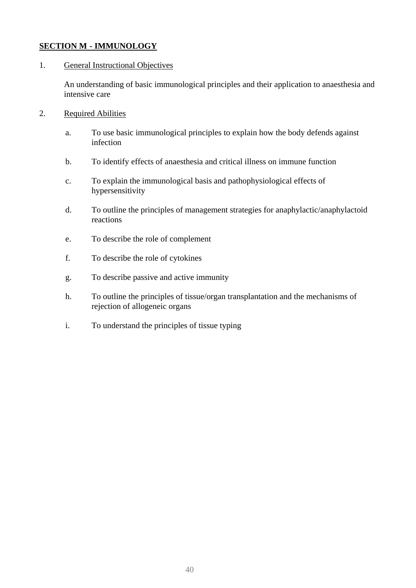# **SECTION M - IMMUNOLOGY**

# 1. General Instructional Objectives

An understanding of basic immunological principles and their application to anaesthesia and intensive care

- 2. Required Abilities
	- a. To use basic immunological principles to explain how the body defends against infection
	- b. To identify effects of anaesthesia and critical illness on immune function
	- c. To explain the immunological basis and pathophysiological effects of hypersensitivity
	- d. To outline the principles of management strategies for anaphylactic/anaphylactoid reactions
	- e. To describe the role of complement
	- f. To describe the role of cytokines
	- g. To describe passive and active immunity
	- h. To outline the principles of tissue/organ transplantation and the mechanisms of rejection of allogeneic organs
	- i. To understand the principles of tissue typing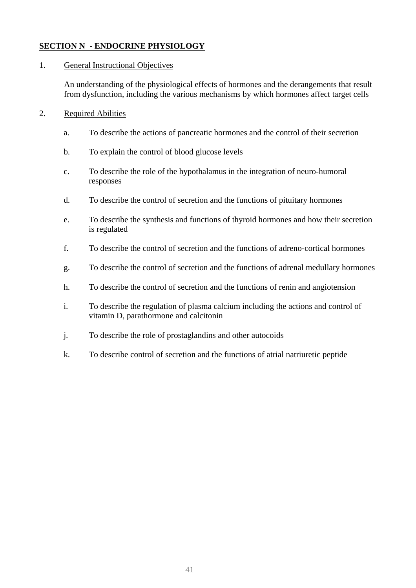# **SECTION N - ENDOCRINE PHYSIOLOGY**

# 1. General Instructional Objectives

An understanding of the physiological effects of hormones and the derangements that result from dysfunction, including the various mechanisms by which hormones affect target cells

- a. To describe the actions of pancreatic hormones and the control of their secretion
- b. To explain the control of blood glucose levels
- c. To describe the role of the hypothalamus in the integration of neuro-humoral responses
- d. To describe the control of secretion and the functions of pituitary hormones
- e. To describe the synthesis and functions of thyroid hormones and how their secretion is regulated
- f. To describe the control of secretion and the functions of adreno-cortical hormones
- g. To describe the control of secretion and the functions of adrenal medullary hormones
- h. To describe the control of secretion and the functions of renin and angiotension
- i. To describe the regulation of plasma calcium including the actions and control of vitamin D, parathormone and calcitonin
- j. To describe the role of prostaglandins and other autocoids
- k. To describe control of secretion and the functions of atrial natriuretic peptide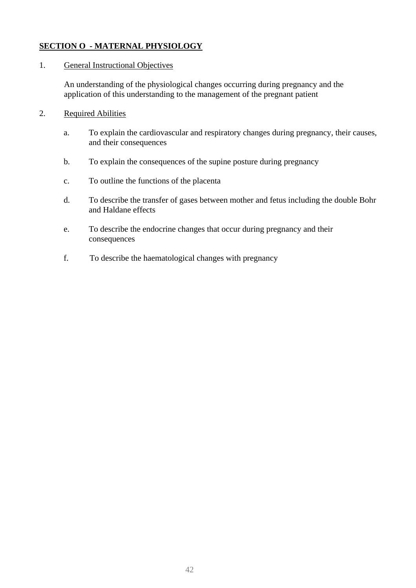# **SECTION O - MATERNAL PHYSIOLOGY**

## 1. General Instructional Objectives

An understanding of the physiological changes occurring during pregnancy and the application of this understanding to the management of the pregnant patient

- a. To explain the cardiovascular and respiratory changes during pregnancy, their causes, and their consequences
- b. To explain the consequences of the supine posture during pregnancy
- c. To outline the functions of the placenta
- d. To describe the transfer of gases between mother and fetus including the double Bohr and Haldane effects
- e. To describe the endocrine changes that occur during pregnancy and their consequences
- f. To describe the haematological changes with pregnancy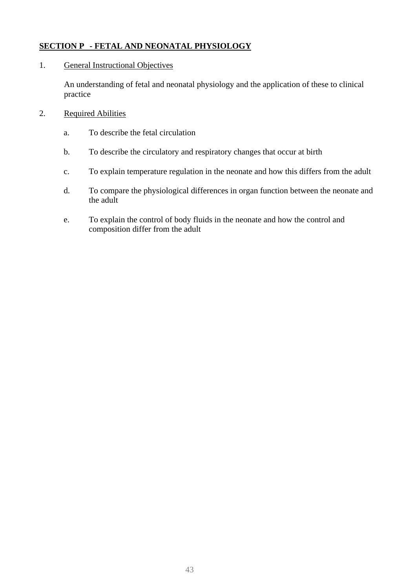# **SECTION P - FETAL AND NEONATAL PHYSIOLOGY**

### 1. General Instructional Objectives

An understanding of fetal and neonatal physiology and the application of these to clinical practice

- a. To describe the fetal circulation
- b. To describe the circulatory and respiratory changes that occur at birth
- c. To explain temperature regulation in the neonate and how this differs from the adult
- d. To compare the physiological differences in organ function between the neonate and the adult
- e. To explain the control of body fluids in the neonate and how the control and composition differ from the adult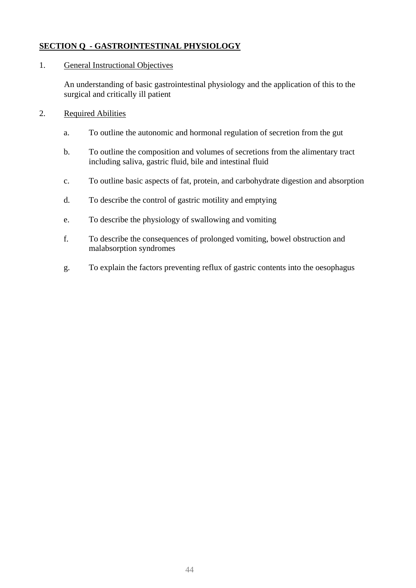# **SECTION Q - GASTROINTESTINAL PHYSIOLOGY**

### 1. General Instructional Objectives

An understanding of basic gastrointestinal physiology and the application of this to the surgical and critically ill patient

- a. To outline the autonomic and hormonal regulation of secretion from the gut
- b. To outline the composition and volumes of secretions from the alimentary tract including saliva, gastric fluid, bile and intestinal fluid
- c. To outline basic aspects of fat, protein, and carbohydrate digestion and absorption
- d. To describe the control of gastric motility and emptying
- e. To describe the physiology of swallowing and vomiting
- f. To describe the consequences of prolonged vomiting, bowel obstruction and malabsorption syndromes
- g. To explain the factors preventing reflux of gastric contents into the oesophagus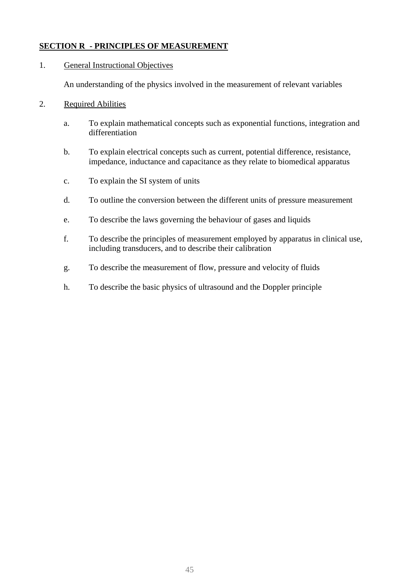# **SECTION R - PRINCIPLES OF MEASUREMENT**

### 1. General Instructional Objectives

An understanding of the physics involved in the measurement of relevant variables

- a. To explain mathematical concepts such as exponential functions, integration and differentiation
- b. To explain electrical concepts such as current, potential difference, resistance, impedance, inductance and capacitance as they relate to biomedical apparatus
- c. To explain the SI system of units
- d. To outline the conversion between the different units of pressure measurement
- e. To describe the laws governing the behaviour of gases and liquids
- f. To describe the principles of measurement employed by apparatus in clinical use, including transducers, and to describe their calibration
- g. To describe the measurement of flow, pressure and velocity of fluids
- h. To describe the basic physics of ultrasound and the Doppler principle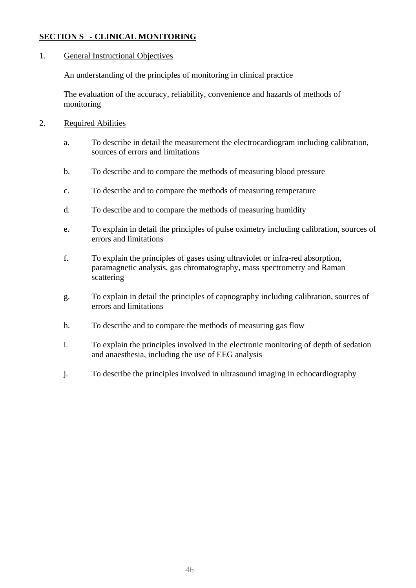# **SECTION S - CLINICAL MONITORING**

#### 1. General Instructional Objectives

An understanding of the principles of monitoring in clinical practice

The evaluation of the accuracy, reliability, convenience and hazards of methods of monitoring

- 2. Required Abilities
	- a. To describe in detail the measurement the electrocardiogram including calibration, sources of errors and limitations
	- b. To describe and to compare the methods of measuring blood pressure
	- c. To describe and to compare the methods of measuring temperature
	- d. To describe and to compare the methods of measuring humidity
	- e. To explain in detail the principles of pulse oximetry including calibration, sources of errors and limitations
	- f. To explain the principles of gases using ultraviolet or infra-red absorption, paramagnetic analysis, gas chromatography, mass spectrometry and Raman scattering
	- g. To explain in detail the principles of capnography including calibration, sources of errors and limitations
	- h. To describe and to compare the methods of measuring gas flow
	- i. To explain the principles involved in the electronic monitoring of depth of sedation and anaesthesia, including the use of EEG analysis
	- j. To describe the principles involved in ultrasound imaging in echocardiography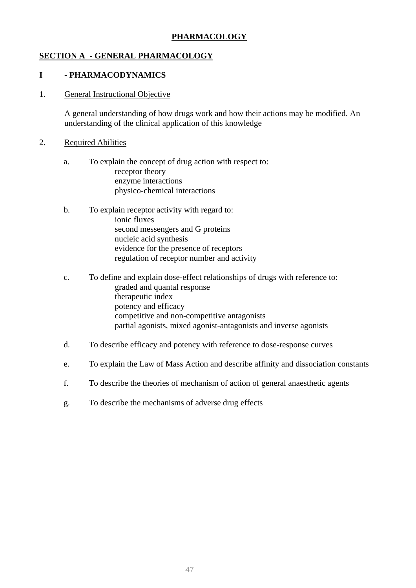# **PHARMACOLOGY**

# **SECTION A - GENERAL PHARMACOLOGY**

### **I - PHARMACODYNAMICS**

#### 1. General Instructional Objective

A general understanding of how drugs work and how their actions may be modified. An understanding of the clinical application of this knowledge

- a. To explain the concept of drug action with respect to: receptor theory enzyme interactions physico-chemical interactions
- b. To explain receptor activity with regard to: ionic fluxes second messengers and G proteins nucleic acid synthesis evidence for the presence of receptors regulation of receptor number and activity
- c. To define and explain dose-effect relationships of drugs with reference to: graded and quantal response therapeutic index potency and efficacy competitive and non-competitive antagonists partial agonists, mixed agonist-antagonists and inverse agonists
- d. To describe efficacy and potency with reference to dose-response curves
- e. To explain the Law of Mass Action and describe affinity and dissociation constants
- f. To describe the theories of mechanism of action of general anaesthetic agents
- g. To describe the mechanisms of adverse drug effects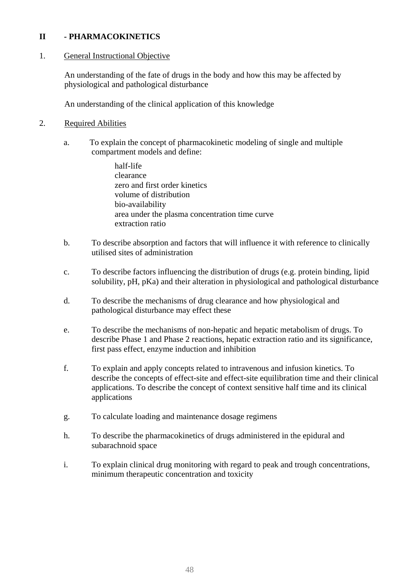### **II - PHARMACOKINETICS**

### 1. General Instructional Objective

An understanding of the fate of drugs in the body and how this may be affected by physiological and pathological disturbance

An understanding of the clinical application of this knowledge

- a. To explain the concept of pharmacokinetic modeling of single and multiple compartment models and define:
	- half-life clearance zero and first order kinetics volume of distribution bio-availability area under the plasma concentration time curve extraction ratio
- b. To describe absorption and factors that will influence it with reference to clinically utilised sites of administration
- c. To describe factors influencing the distribution of drugs (e.g. protein binding, lipid solubility, pH, pKa) and their alteration in physiological and pathological disturbance
- d. To describe the mechanisms of drug clearance and how physiological and pathological disturbance may effect these
- e. To describe the mechanisms of non-hepatic and hepatic metabolism of drugs. To describe Phase 1 and Phase 2 reactions, hepatic extraction ratio and its significance, first pass effect, enzyme induction and inhibition
- f. To explain and apply concepts related to intravenous and infusion kinetics. To describe the concepts of effect-site and effect-site equilibration time and their clinical applications. To describe the concept of context sensitive half time and its clinical applications
- g. To calculate loading and maintenance dosage regimens
- h. To describe the pharmacokinetics of drugs administered in the epidural and subarachnoid space
- i. To explain clinical drug monitoring with regard to peak and trough concentrations, minimum therapeutic concentration and toxicity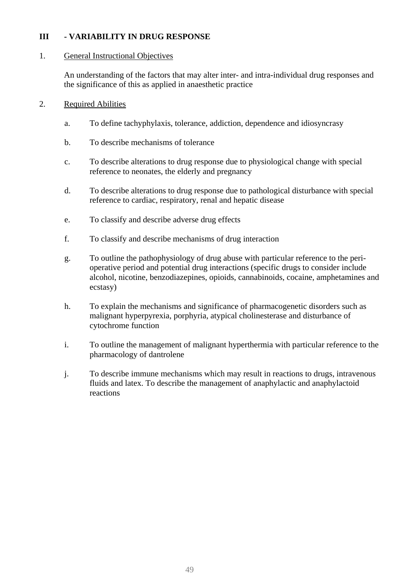# **III - VARIABILITY IN DRUG RESPONSE**

#### 1. General Instructional Objectives

An understanding of the factors that may alter inter- and intra-individual drug responses and the significance of this as applied in anaesthetic practice

- a. To define tachyphylaxis, tolerance, addiction, dependence and idiosyncrasy
- b. To describe mechanisms of tolerance
- c. To describe alterations to drug response due to physiological change with special reference to neonates, the elderly and pregnancy
- d. To describe alterations to drug response due to pathological disturbance with special reference to cardiac, respiratory, renal and hepatic disease
- e. To classify and describe adverse drug effects
- f. To classify and describe mechanisms of drug interaction
- g. To outline the pathophysiology of drug abuse with particular reference to the perioperative period and potential drug interactions (specific drugs to consider include alcohol, nicotine, benzodiazepines, opioids, cannabinoids, cocaine, amphetamines and ecstasy)
- h. To explain the mechanisms and significance of pharmacogenetic disorders such as malignant hyperpyrexia, porphyria, atypical cholinesterase and disturbance of cytochrome function
- i. To outline the management of malignant hyperthermia with particular reference to the pharmacology of dantrolene
- j. To describe immune mechanisms which may result in reactions to drugs, intravenous fluids and latex. To describe the management of anaphylactic and anaphylactoid reactions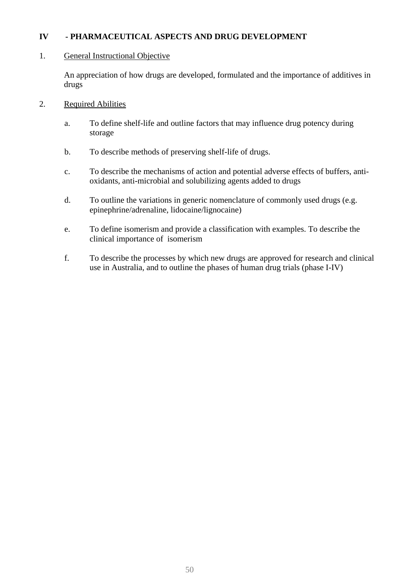# **IV - PHARMACEUTICAL ASPECTS AND DRUG DEVELOPMENT**

#### 1. General Instructional Objective

An appreciation of how drugs are developed, formulated and the importance of additives in drugs

- 2. Required Abilities
	- a. To define shelf-life and outline factors that may influence drug potency during storage
	- b. To describe methods of preserving shelf-life of drugs.
	- c. To describe the mechanisms of action and potential adverse effects of buffers, antioxidants, anti-microbial and solubilizing agents added to drugs
	- d. To outline the variations in generic nomenclature of commonly used drugs (e.g. epinephrine/adrenaline, lidocaine/lignocaine)
	- e. To define isomerism and provide a classification with examples. To describe the clinical importance of isomerism
	- f. To describe the processes by which new drugs are approved for research and clinical use in Australia, and to outline the phases of human drug trials (phase I-IV)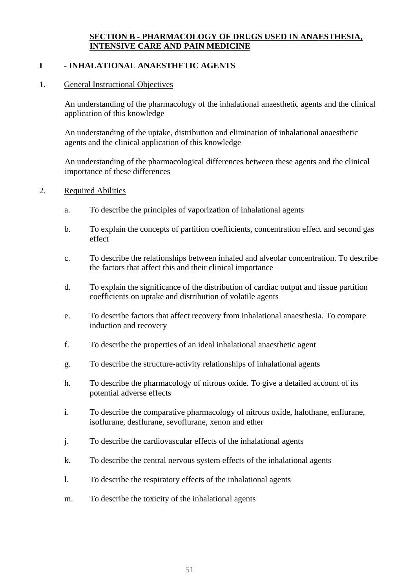# **SECTION B - PHARMACOLOGY OF DRUGS USED IN ANAESTHESIA, INTENSIVE CARE AND PAIN MEDICINE**

# **I - INHALATIONAL ANAESTHETIC AGENTS**

#### 1. General Instructional Objectives

An understanding of the pharmacology of the inhalational anaesthetic agents and the clinical application of this knowledge

An understanding of the uptake, distribution and elimination of inhalational anaesthetic agents and the clinical application of this knowledge

An understanding of the pharmacological differences between these agents and the clinical importance of these differences

- 2. Required Abilities
	- a. To describe the principles of vaporization of inhalational agents
	- b. To explain the concepts of partition coefficients, concentration effect and second gas effect
	- c. To describe the relationships between inhaled and alveolar concentration. To describe the factors that affect this and their clinical importance
	- d. To explain the significance of the distribution of cardiac output and tissue partition coefficients on uptake and distribution of volatile agents
	- e. To describe factors that affect recovery from inhalational anaesthesia. To compare induction and recovery
	- f. To describe the properties of an ideal inhalational anaesthetic agent
	- g. To describe the structure-activity relationships of inhalational agents
	- h. To describe the pharmacology of nitrous oxide. To give a detailed account of its potential adverse effects
	- i. To describe the comparative pharmacology of nitrous oxide, halothane, enflurane, isoflurane, desflurane, sevoflurane, xenon and ether
	- j. To describe the cardiovascular effects of the inhalational agents
	- k. To describe the central nervous system effects of the inhalational agents
	- l. To describe the respiratory effects of the inhalational agents
	- m. To describe the toxicity of the inhalational agents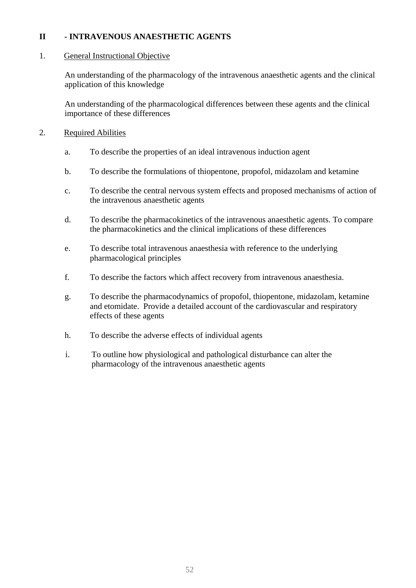### **II - INTRAVENOUS ANAESTHETIC AGENTS**

### 1. General Instructional Objective

An understanding of the pharmacology of the intravenous anaesthetic agents and the clinical application of this knowledge

An understanding of the pharmacological differences between these agents and the clinical importance of these differences

- 2. Required Abilities
	- a. To describe the properties of an ideal intravenous induction agent
	- b. To describe the formulations of thiopentone, propofol, midazolam and ketamine
	- c. To describe the central nervous system effects and proposed mechanisms of action of the intravenous anaesthetic agents
	- d. To describe the pharmacokinetics of the intravenous anaesthetic agents. To compare the pharmacokinetics and the clinical implications of these differences
	- e. To describe total intravenous anaesthesia with reference to the underlying pharmacological principles
	- f. To describe the factors which affect recovery from intravenous anaesthesia.
	- g. To describe the pharmacodynamics of propofol, thiopentone, midazolam, ketamine and etomidate. Provide a detailed account of the cardiovascular and respiratory effects of these agents
	- h. To describe the adverse effects of individual agents
	- i. To outline how physiological and pathological disturbance can alter the pharmacology of the intravenous anaesthetic agents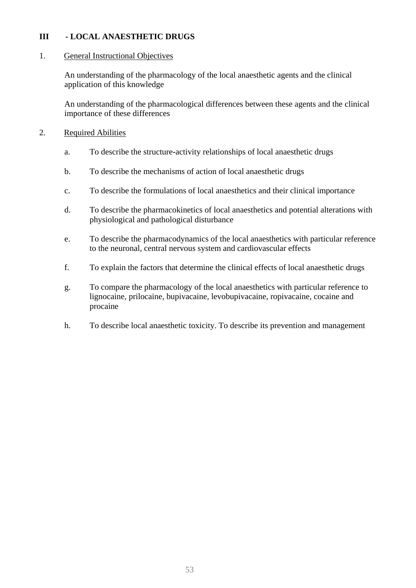### **III - LOCAL ANAESTHETIC DRUGS**

#### 1. General Instructional Objectives

An understanding of the pharmacology of the local anaesthetic agents and the clinical application of this knowledge

An understanding of the pharmacological differences between these agents and the clinical importance of these differences

- 2. Required Abilities
	- a. To describe the structure-activity relationships of local anaesthetic drugs
	- b. To describe the mechanisms of action of local anaesthetic drugs
	- c. To describe the formulations of local anaesthetics and their clinical importance
	- d. To describe the pharmacokinetics of local anaesthetics and potential alterations with physiological and pathological disturbance
	- e. To describe the pharmacodynamics of the local anaesthetics with particular reference to the neuronal, central nervous system and cardiovascular effects
	- f. To explain the factors that determine the clinical effects of local anaesthetic drugs
	- g. To compare the pharmacology of the local anaesthetics with particular reference to lignocaine, prilocaine, bupivacaine, levobupivacaine, ropivacaine, cocaine and procaine
	- h. To describe local anaesthetic toxicity. To describe its prevention and management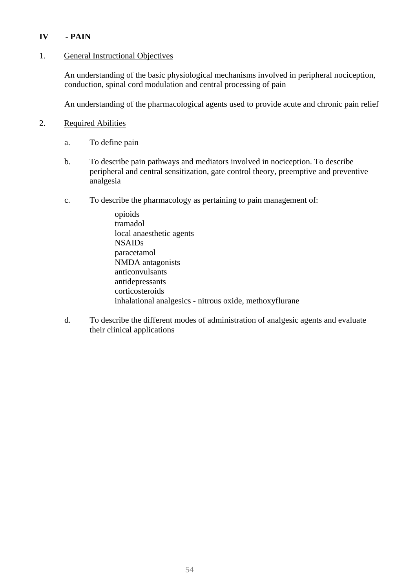# **IV - PAIN**

### 1. General Instructional Objectives

An understanding of the basic physiological mechanisms involved in peripheral nociception, conduction, spinal cord modulation and central processing of pain

An understanding of the pharmacological agents used to provide acute and chronic pain relief

### 2. Required Abilities

- a. To define pain
- b. To describe pain pathways and mediators involved in nociception. To describe peripheral and central sensitization, gate control theory, preemptive and preventive analgesia
- c. To describe the pharmacology as pertaining to pain management of:

 opioids tramadol local anaesthetic agents NSAIDs paracetamol NMDA antagonists anticonvulsants antidepressants corticosteroids inhalational analgesics - nitrous oxide, methoxyflurane

d. To describe the different modes of administration of analgesic agents and evaluate their clinical applications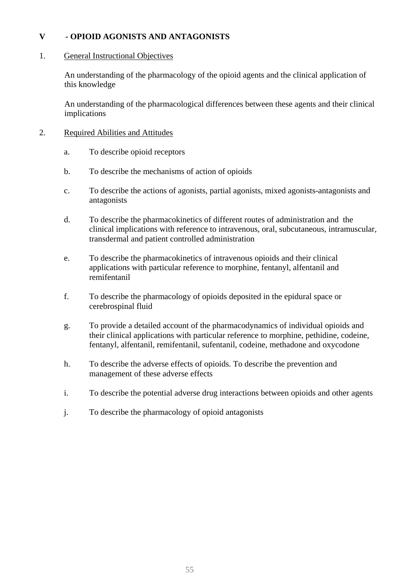## **V - OPIOID AGONISTS AND ANTAGONISTS**

#### 1. General Instructional Objectives

An understanding of the pharmacology of the opioid agents and the clinical application of this knowledge

An understanding of the pharmacological differences between these agents and their clinical implications

- 2. Required Abilities and Attitudes
	- a. To describe opioid receptors
	- b. To describe the mechanisms of action of opioids
	- c. To describe the actions of agonists, partial agonists, mixed agonists-antagonists and antagonists
	- d. To describe the pharmacokinetics of different routes of administration and the clinical implications with reference to intravenous, oral, subcutaneous, intramuscular, transdermal and patient controlled administration
	- e. To describe the pharmacokinetics of intravenous opioids and their clinical applications with particular reference to morphine, fentanyl, alfentanil and remifentanil
	- f. To describe the pharmacology of opioids deposited in the epidural space or cerebrospinal fluid
	- g. To provide a detailed account of the pharmacodynamics of individual opioids and their clinical applications with particular reference to morphine, pethidine, codeine, fentanyl, alfentanil, remifentanil, sufentanil, codeine, methadone and oxycodone
	- h. To describe the adverse effects of opioids. To describe the prevention and management of these adverse effects
	- i. To describe the potential adverse drug interactions between opioids and other agents
	- j. To describe the pharmacology of opioid antagonists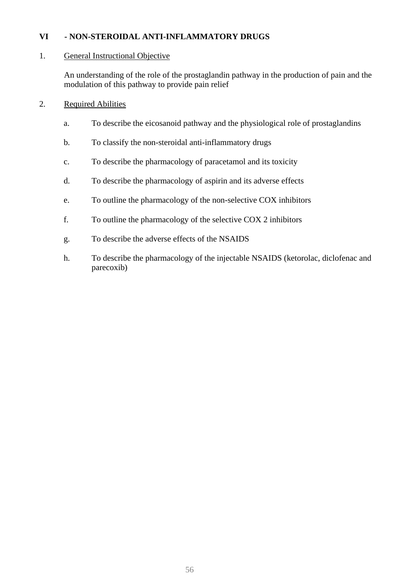# **VI - NON-STEROIDAL ANTI-INFLAMMATORY DRUGS**

### 1. General Instructional Objective

An understanding of the role of the prostaglandin pathway in the production of pain and the modulation of this pathway to provide pain relief

- a. To describe the eicosanoid pathway and the physiological role of prostaglandins
- b. To classify the non-steroidal anti-inflammatory drugs
- c. To describe the pharmacology of paracetamol and its toxicity
- d. To describe the pharmacology of aspirin and its adverse effects
- e. To outline the pharmacology of the non-selective COX inhibitors
- f. To outline the pharmacology of the selective COX 2 inhibitors
- g. To describe the adverse effects of the NSAIDS
- h. To describe the pharmacology of the injectable NSAIDS (ketorolac, diclofenac and parecoxib)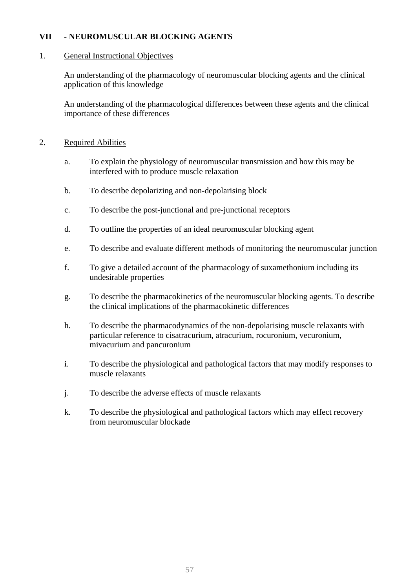### **VII - NEUROMUSCULAR BLOCKING AGENTS**

#### 1. General Instructional Objectives

An understanding of the pharmacology of neuromuscular blocking agents and the clinical application of this knowledge

An understanding of the pharmacological differences between these agents and the clinical importance of these differences

- a. To explain the physiology of neuromuscular transmission and how this may be interfered with to produce muscle relaxation
- b. To describe depolarizing and non-depolarising block
- c. To describe the post-junctional and pre-junctional receptors
- d. To outline the properties of an ideal neuromuscular blocking agent
- e. To describe and evaluate different methods of monitoring the neuromuscular junction
- f. To give a detailed account of the pharmacology of suxamethonium including its undesirable properties
- g. To describe the pharmacokinetics of the neuromuscular blocking agents. To describe the clinical implications of the pharmacokinetic differences
- h. To describe the pharmacodynamics of the non-depolarising muscle relaxants with particular reference to cisatracurium, atracurium, rocuronium, vecuronium, mivacurium and pancuronium
- i. To describe the physiological and pathological factors that may modify responses to muscle relaxants
- j. To describe the adverse effects of muscle relaxants
- k. To describe the physiological and pathological factors which may effect recovery from neuromuscular blockade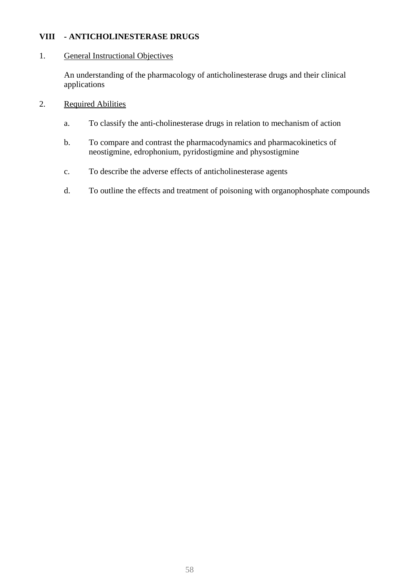## **VIII - ANTICHOLINESTERASE DRUGS**

### 1. General Instructional Objectives

An understanding of the pharmacology of anticholinesterase drugs and their clinical applications

- 2. Required Abilities
	- a. To classify the anti-cholinesterase drugs in relation to mechanism of action
	- b. To compare and contrast the pharmacodynamics and pharmacokinetics of neostigmine, edrophonium, pyridostigmine and physostigmine
	- c. To describe the adverse effects of anticholinesterase agents
	- d. To outline the effects and treatment of poisoning with organophosphate compounds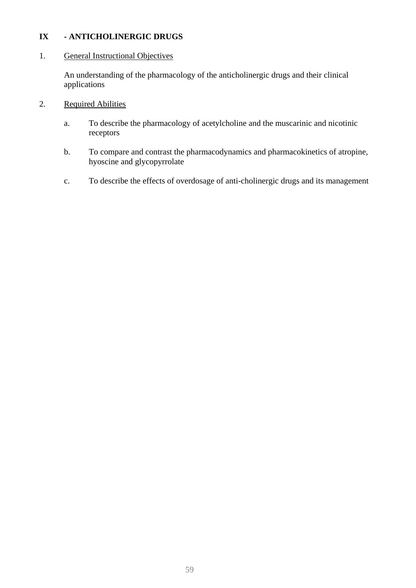# **IX - ANTICHOLINERGIC DRUGS**

### 1. General Instructional Objectives

An understanding of the pharmacology of the anticholinergic drugs and their clinical applications

- 2. Required Abilities
	- a. To describe the pharmacology of acetylcholine and the muscarinic and nicotinic receptors
	- b. To compare and contrast the pharmacodynamics and pharmacokinetics of atropine, hyoscine and glycopyrrolate
	- c. To describe the effects of overdosage of anti-cholinergic drugs and its management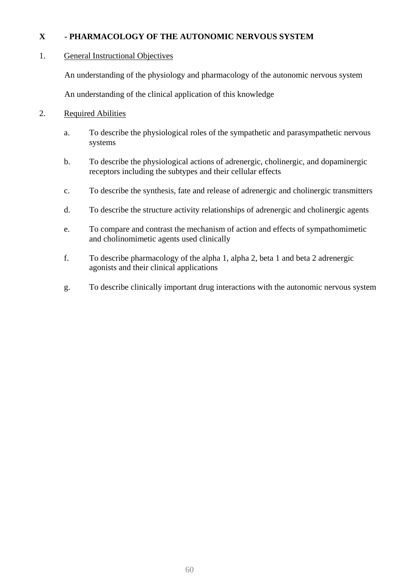# **X - PHARMACOLOGY OF THE AUTONOMIC NERVOUS SYSTEM**

### 1. General Instructional Objectives

An understanding of the physiology and pharmacology of the autonomic nervous system

An understanding of the clinical application of this knowledge

- a. To describe the physiological roles of the sympathetic and parasympathetic nervous systems
- b. To describe the physiological actions of adrenergic, cholinergic, and dopaminergic receptors including the subtypes and their cellular effects
- c. To describe the synthesis, fate and release of adrenergic and cholinergic transmitters
- d. To describe the structure activity relationships of adrenergic and cholinergic agents
- e. To compare and contrast the mechanism of action and effects of sympathomimetic and cholinomimetic agents used clinically
- f. To describe pharmacology of the alpha 1, alpha 2, beta 1 and beta 2 adrenergic agonists and their clinical applications
- g. To describe clinically important drug interactions with the autonomic nervous system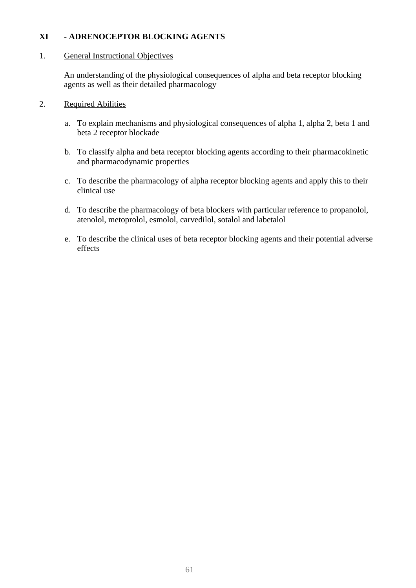# **XI - ADRENOCEPTOR BLOCKING AGENTS**

### 1. General Instructional Objectives

An understanding of the physiological consequences of alpha and beta receptor blocking agents as well as their detailed pharmacology

- 2. Required Abilities
	- a. To explain mechanisms and physiological consequences of alpha 1, alpha 2, beta 1 and beta 2 receptor blockade
	- b. To classify alpha and beta receptor blocking agents according to their pharmacokinetic and pharmacodynamic properties
	- c. To describe the pharmacology of alpha receptor blocking agents and apply this to their clinical use
	- d. To describe the pharmacology of beta blockers with particular reference to propanolol, atenolol, metoprolol, esmolol, carvedilol, sotalol and labetalol
	- e. To describe the clinical uses of beta receptor blocking agents and their potential adverse effects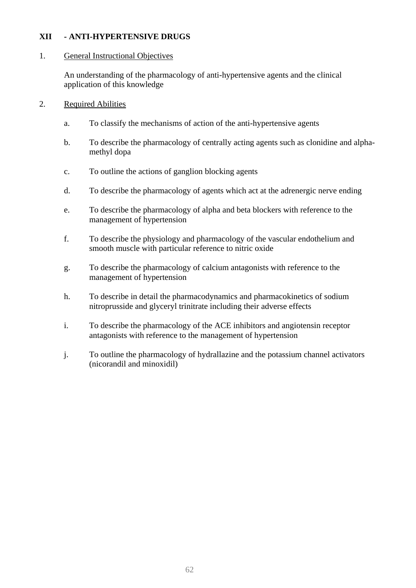### **XII - ANTI-HYPERTENSIVE DRUGS**

#### 1. General Instructional Objectives

An understanding of the pharmacology of anti-hypertensive agents and the clinical application of this knowledge

- 2. Required Abilities
	- a. To classify the mechanisms of action of the anti-hypertensive agents
	- b. To describe the pharmacology of centrally acting agents such as clonidine and alphamethyl dopa
	- c. To outline the actions of ganglion blocking agents
	- d. To describe the pharmacology of agents which act at the adrenergic nerve ending
	- e. To describe the pharmacology of alpha and beta blockers with reference to the management of hypertension
	- f. To describe the physiology and pharmacology of the vascular endothelium and smooth muscle with particular reference to nitric oxide
	- g. To describe the pharmacology of calcium antagonists with reference to the management of hypertension
	- h. To describe in detail the pharmacodynamics and pharmacokinetics of sodium nitroprusside and glyceryl trinitrate including their adverse effects
	- i. To describe the pharmacology of the ACE inhibitors and angiotensin receptor antagonists with reference to the management of hypertension
	- j. To outline the pharmacology of hydrallazine and the potassium channel activators (nicorandil and minoxidil)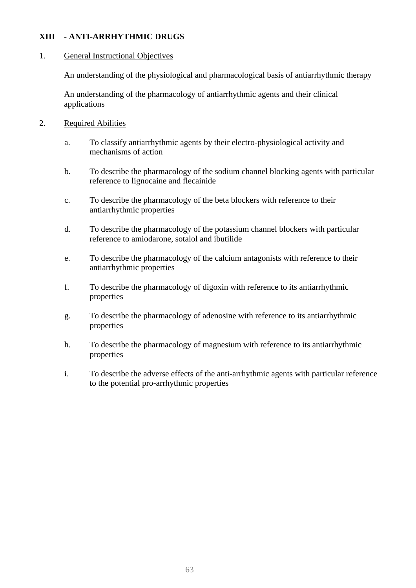### **XIII - ANTI-ARRHYTHMIC DRUGS**

### 1. General Instructional Objectives

An understanding of the physiological and pharmacological basis of antiarrhythmic therapy

An understanding of the pharmacology of antiarrhythmic agents and their clinical applications

- 2. Required Abilities
	- a. To classify antiarrhythmic agents by their electro-physiological activity and mechanisms of action
	- b. To describe the pharmacology of the sodium channel blocking agents with particular reference to lignocaine and flecainide
	- c. To describe the pharmacology of the beta blockers with reference to their antiarrhythmic properties
	- d. To describe the pharmacology of the potassium channel blockers with particular reference to amiodarone, sotalol and ibutilide
	- e. To describe the pharmacology of the calcium antagonists with reference to their antiarrhythmic properties
	- f. To describe the pharmacology of digoxin with reference to its antiarrhythmic properties
	- g. To describe the pharmacology of adenosine with reference to its antiarrhythmic properties
	- h. To describe the pharmacology of magnesium with reference to its antiarrhythmic properties
	- i. To describe the adverse effects of the anti-arrhythmic agents with particular reference to the potential pro-arrhythmic properties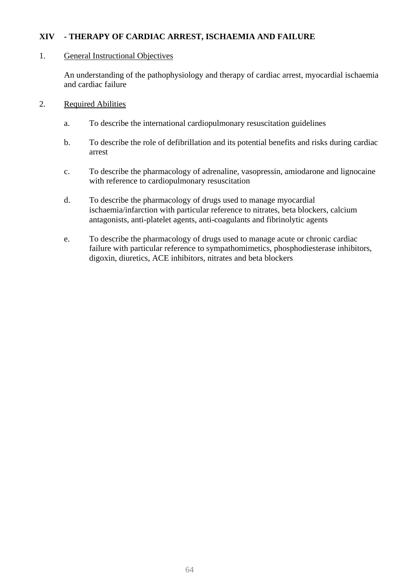### **XIV - THERAPY OF CARDIAC ARREST, ISCHAEMIA AND FAILURE**

#### 1. General Instructional Objectives

An understanding of the pathophysiology and therapy of cardiac arrest, myocardial ischaemia and cardiac failure

- 2. Required Abilities
	- a. To describe the international cardiopulmonary resuscitation guidelines
	- b. To describe the role of defibrillation and its potential benefits and risks during cardiac arrest
	- c. To describe the pharmacology of adrenaline, vasopressin, amiodarone and lignocaine with reference to cardiopulmonary resuscitation
	- d. To describe the pharmacology of drugs used to manage myocardial ischaemia/infarction with particular reference to nitrates, beta blockers, calcium antagonists, anti-platelet agents, anti-coagulants and fibrinolytic agents
	- e. To describe the pharmacology of drugs used to manage acute or chronic cardiac failure with particular reference to sympathomimetics, phosphodiesterase inhibitors, digoxin, diuretics, ACE inhibitors, nitrates and beta blockers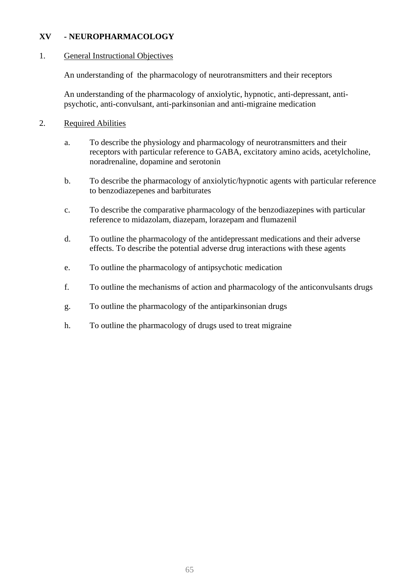### **XV - NEUROPHARMACOLOGY**

#### 1. General Instructional Objectives

An understanding of the pharmacology of neurotransmitters and their receptors

An understanding of the pharmacology of anxiolytic, hypnotic, anti-depressant, antipsychotic, anti-convulsant, anti-parkinsonian and anti-migraine medication

- a. To describe the physiology and pharmacology of neurotransmitters and their receptors with particular reference to GABA, excitatory amino acids, acetylcholine, noradrenaline, dopamine and serotonin
- b. To describe the pharmacology of anxiolytic/hypnotic agents with particular reference to benzodiazepenes and barbiturates
- c. To describe the comparative pharmacology of the benzodiazepines with particular reference to midazolam, diazepam, lorazepam and flumazenil
- d. To outline the pharmacology of the antidepressant medications and their adverse effects. To describe the potential adverse drug interactions with these agents
- e. To outline the pharmacology of antipsychotic medication
- f. To outline the mechanisms of action and pharmacology of the anticonvulsants drugs
- g. To outline the pharmacology of the antiparkinsonian drugs
- h. To outline the pharmacology of drugs used to treat migraine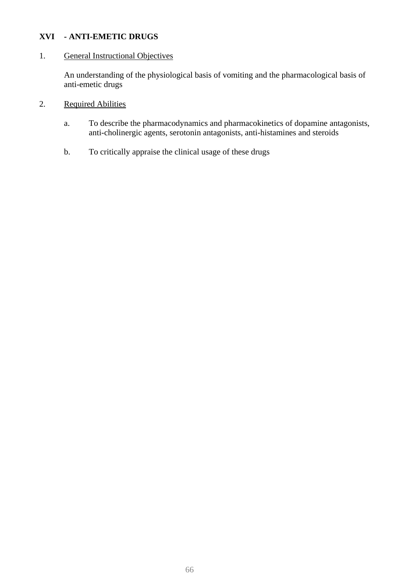## **XVI - ANTI-EMETIC DRUGS**

### 1. General Instructional Objectives

An understanding of the physiological basis of vomiting and the pharmacological basis of anti-emetic drugs

- 2. Required Abilities
	- a. To describe the pharmacodynamics and pharmacokinetics of dopamine antagonists, anti-cholinergic agents, serotonin antagonists, anti-histamines and steroids
	- b. To critically appraise the clinical usage of these drugs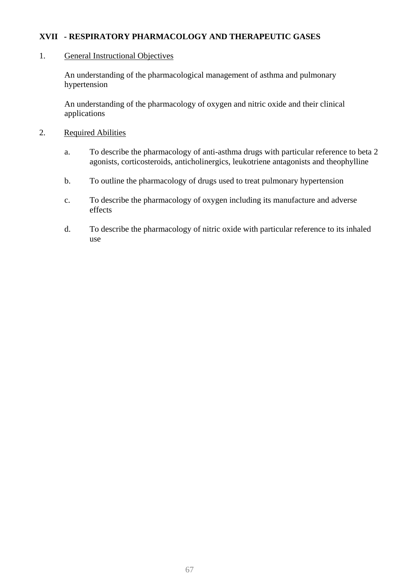## **XVII - RESPIRATORY PHARMACOLOGY AND THERAPEUTIC GASES**

#### 1. General Instructional Objectives

An understanding of the pharmacological management of asthma and pulmonary hypertension

An understanding of the pharmacology of oxygen and nitric oxide and their clinical applications

- 2. Required Abilities
	- a. To describe the pharmacology of anti-asthma drugs with particular reference to beta 2 agonists, corticosteroids, anticholinergics, leukotriene antagonists and theophylline
	- b. To outline the pharmacology of drugs used to treat pulmonary hypertension
	- c. To describe the pharmacology of oxygen including its manufacture and adverse effects
	- d. To describe the pharmacology of nitric oxide with particular reference to its inhaled use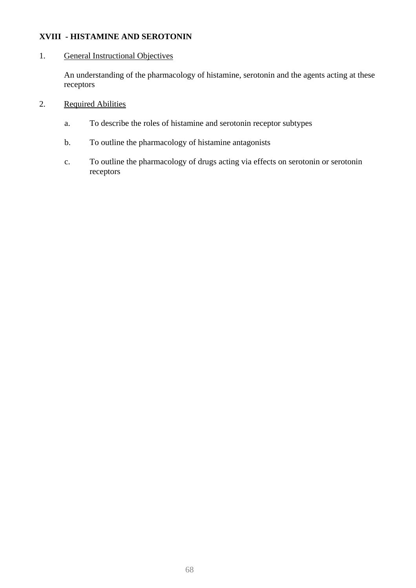## **XVIII - HISTAMINE AND SEROTONIN**

### 1. General Instructional Objectives

An understanding of the pharmacology of histamine, serotonin and the agents acting at these receptors

- 2. Required Abilities
	- a. To describe the roles of histamine and serotonin receptor subtypes
	- b. To outline the pharmacology of histamine antagonists
	- c. To outline the pharmacology of drugs acting via effects on serotonin or serotonin receptors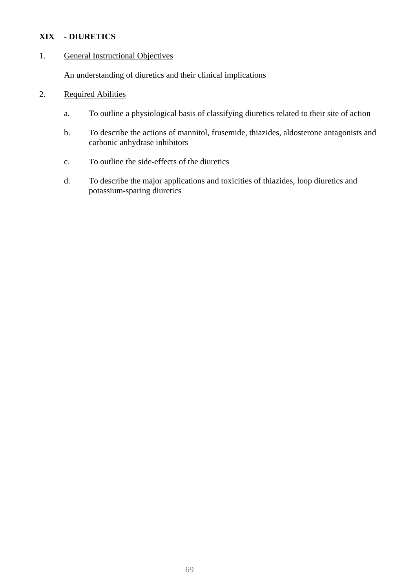# **XIX - DIURETICS**

### 1. General Instructional Objectives

An understanding of diuretics and their clinical implications

- a. To outline a physiological basis of classifying diuretics related to their site of action
- b. To describe the actions of mannitol, frusemide, thiazides, aldosterone antagonists and carbonic anhydrase inhibitors
- c. To outline the side-effects of the diuretics
- d. To describe the major applications and toxicities of thiazides, loop diuretics and potassium-sparing diuretics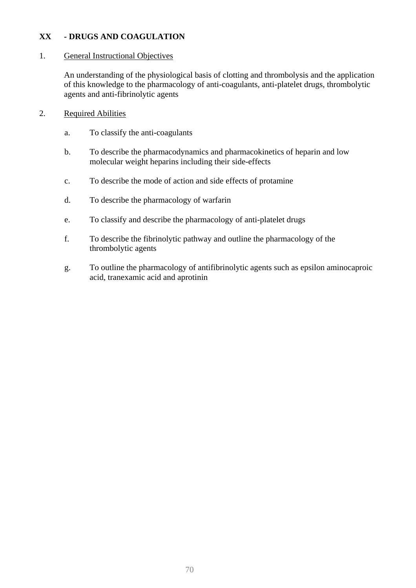# **XX - DRUGS AND COAGULATION**

#### 1. General Instructional Objectives

An understanding of the physiological basis of clotting and thrombolysis and the application of this knowledge to the pharmacology of anti-coagulants, anti-platelet drugs, thrombolytic agents and anti-fibrinolytic agents

- a. To classify the anti-coagulants
- b. To describe the pharmacodynamics and pharmacokinetics of heparin and low molecular weight heparins including their side-effects
- c. To describe the mode of action and side effects of protamine
- d. To describe the pharmacology of warfarin
- e. To classify and describe the pharmacology of anti-platelet drugs
- f. To describe the fibrinolytic pathway and outline the pharmacology of the thrombolytic agents
- g. To outline the pharmacology of antifibrinolytic agents such as epsilon aminocaproic acid, tranexamic acid and aprotinin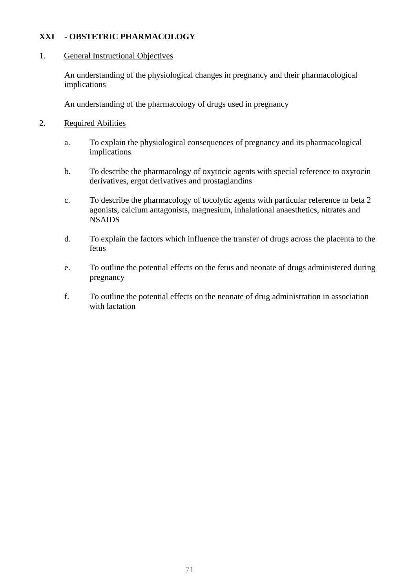# **XXI - OBSTETRIC PHARMACOLOGY**

#### 1. General Instructional Objectives

An understanding of the physiological changes in pregnancy and their pharmacological implications

An understanding of the pharmacology of drugs used in pregnancy

- a. To explain the physiological consequences of pregnancy and its pharmacological implications
- b. To describe the pharmacology of oxytocic agents with special reference to oxytocin derivatives, ergot derivatives and prostaglandins
- c. To describe the pharmacology of tocolytic agents with particular reference to beta 2 agonists, calcium antagonists, magnesium, inhalational anaesthetics, nitrates and **NSAIDS**
- d. To explain the factors which influence the transfer of drugs across the placenta to the fetus
- e. To outline the potential effects on the fetus and neonate of drugs administered during pregnancy
- f. To outline the potential effects on the neonate of drug administration in association with lactation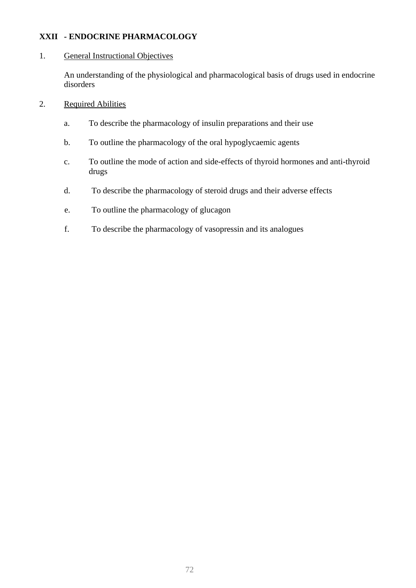# **XXII - ENDOCRINE PHARMACOLOGY**

#### 1. General Instructional Objectives

An understanding of the physiological and pharmacological basis of drugs used in endocrine disorders

- 2. Required Abilities
	- a. To describe the pharmacology of insulin preparations and their use
	- b. To outline the pharmacology of the oral hypoglycaemic agents
	- c. To outline the mode of action and side-effects of thyroid hormones and anti-thyroid drugs
	- d. To describe the pharmacology of steroid drugs and their adverse effects
	- e. To outline the pharmacology of glucagon
	- f. To describe the pharmacology of vasopressin and its analogues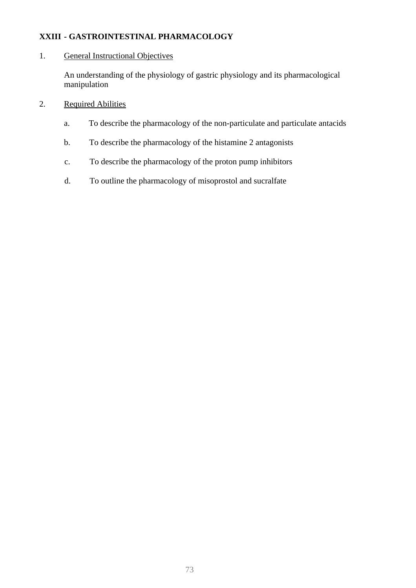# **XXIII - GASTROINTESTINAL PHARMACOLOGY**

### 1. General Instructional Objectives

An understanding of the physiology of gastric physiology and its pharmacological manipulation

## 2. Required Abilities

- a. To describe the pharmacology of the non-particulate and particulate antacids
- b. To describe the pharmacology of the histamine 2 antagonists
- c. To describe the pharmacology of the proton pump inhibitors
- d. To outline the pharmacology of misoprostol and sucralfate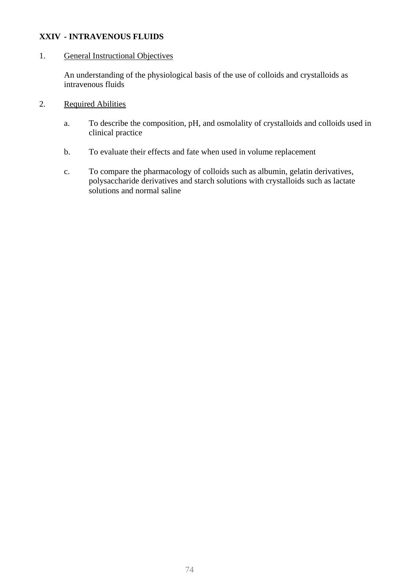### **XXIV - INTRAVENOUS FLUIDS**

#### 1. General Instructional Objectives

An understanding of the physiological basis of the use of colloids and crystalloids as intravenous fluids

- 2. Required Abilities
	- a. To describe the composition, pH, and osmolality of crystalloids and colloids used in clinical practice
	- b. To evaluate their effects and fate when used in volume replacement
	- c. To compare the pharmacology of colloids such as albumin, gelatin derivatives, polysaccharide derivatives and starch solutions with crystalloids such as lactate solutions and normal saline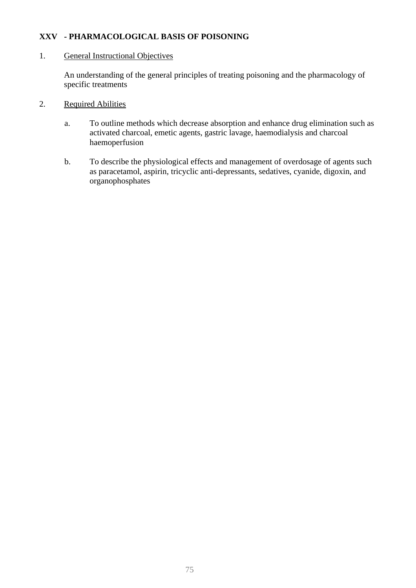### **XXV - PHARMACOLOGICAL BASIS OF POISONING**

#### 1. General Instructional Objectives

An understanding of the general principles of treating poisoning and the pharmacology of specific treatments

- 2. Required Abilities
	- a. To outline methods which decrease absorption and enhance drug elimination such as activated charcoal, emetic agents, gastric lavage, haemodialysis and charcoal haemoperfusion
	- b. To describe the physiological effects and management of overdosage of agents such as paracetamol, aspirin, tricyclic anti-depressants, sedatives, cyanide, digoxin, and organophosphates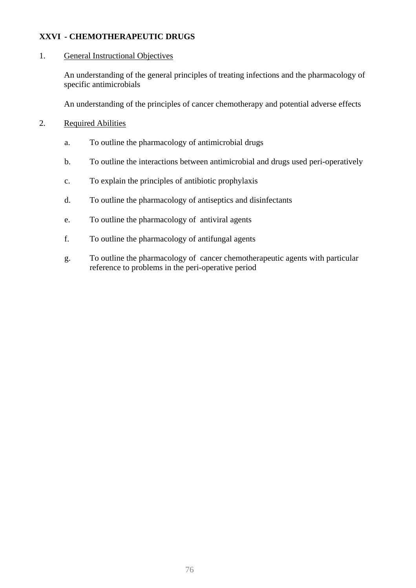### **XXVI - CHEMOTHERAPEUTIC DRUGS**

#### 1. General Instructional Objectives

An understanding of the general principles of treating infections and the pharmacology of specific antimicrobials

An understanding of the principles of cancer chemotherapy and potential adverse effects

### 2. Required Abilities

- a. To outline the pharmacology of antimicrobial drugs
- b. To outline the interactions between antimicrobial and drugs used peri-operatively
- c. To explain the principles of antibiotic prophylaxis
- d. To outline the pharmacology of antiseptics and disinfectants
- e. To outline the pharmacology of antiviral agents
- f. To outline the pharmacology of antifungal agents
- g. To outline the pharmacology of cancer chemotherapeutic agents with particular reference to problems in the peri-operative period